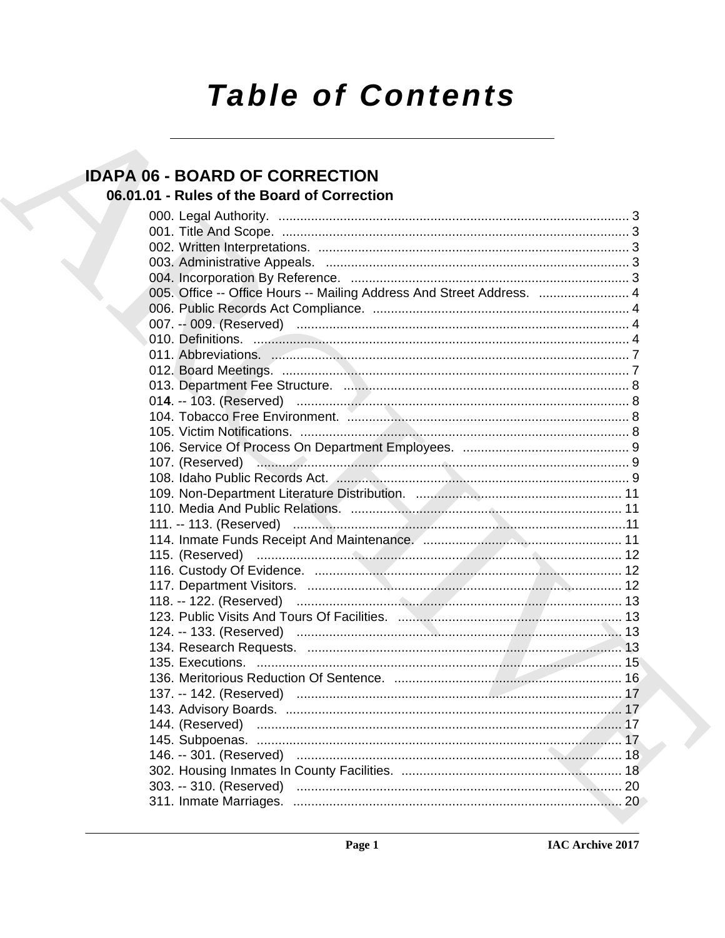# **Table of Contents**

### **IDAPA 06 - BOARD OF CORRECTION**

### 06.01.01 - Rules of the Board of Correction

| 005. Office -- Office Hours -- Mailing Address And Street Address.  4 |  |
|-----------------------------------------------------------------------|--|
|                                                                       |  |
|                                                                       |  |
|                                                                       |  |
|                                                                       |  |
|                                                                       |  |
|                                                                       |  |
|                                                                       |  |
|                                                                       |  |
|                                                                       |  |
|                                                                       |  |
|                                                                       |  |
|                                                                       |  |
|                                                                       |  |
|                                                                       |  |
|                                                                       |  |
|                                                                       |  |
|                                                                       |  |
|                                                                       |  |
|                                                                       |  |
|                                                                       |  |
|                                                                       |  |
|                                                                       |  |
|                                                                       |  |
|                                                                       |  |
|                                                                       |  |
|                                                                       |  |
|                                                                       |  |
|                                                                       |  |
|                                                                       |  |
|                                                                       |  |
|                                                                       |  |
|                                                                       |  |
|                                                                       |  |
|                                                                       |  |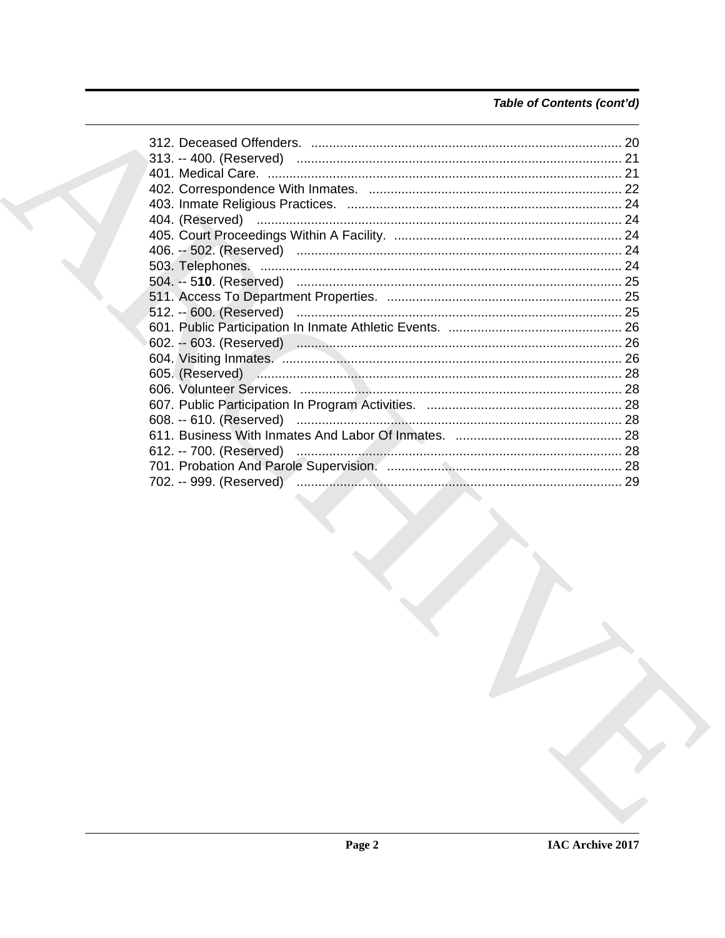### Table of Contents (cont'd)

| 702. -- 999. (Reserved) …………………………………………………………………………… 29 |  |
|----------------------------------------------------------|--|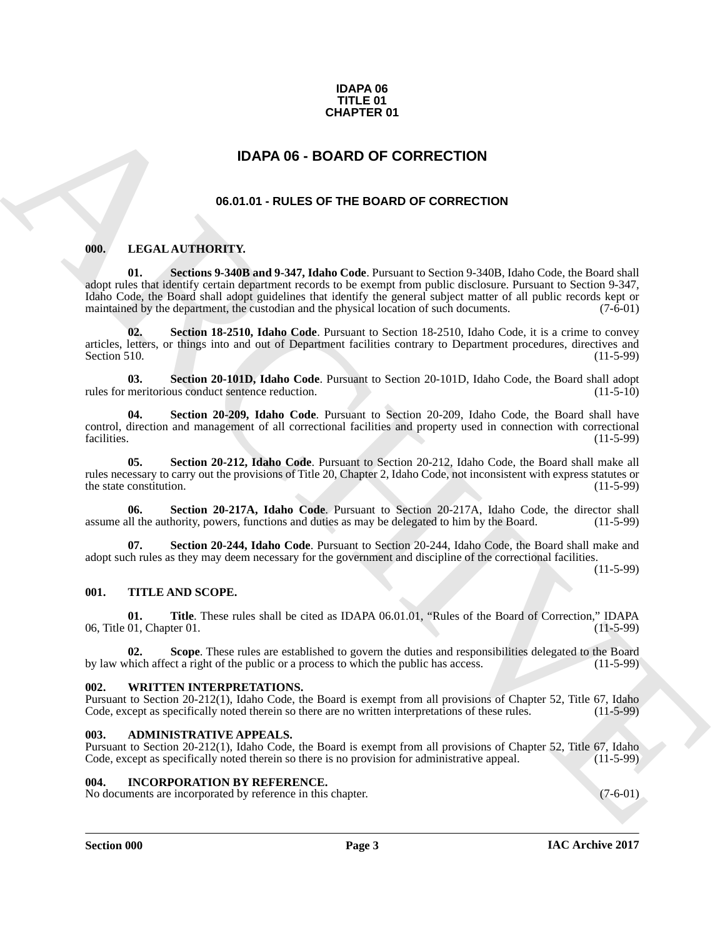### **IDAPA 06 TITLE 01 CHAPTER 01**

### **IDAPA 06 - BOARD OF CORRECTION**

### **06.01.01 - RULES OF THE BOARD OF CORRECTION**

### <span id="page-2-7"></span><span id="page-2-2"></span><span id="page-2-1"></span>**000. LEGAL AUTHORITY.**

<span id="page-2-0"></span>**CHAPTER 01**<br> **IDAPA 06 - BOARD OF CORRECTION**<br> **O6.01.01 - RULES OF THE BOARD OF CORRECTION**<br> **CHARCHIVES OF THE BOARD OF CORRECTION**<br> **ARCHIVES ART AND SECTION**<br> **ARCHIVES ART AND SECTION**<br> **ARCHIVES ART AND SECTION ARC 01. Sections 9-340B and 9-347, Idaho Code**. Pursuant to Section 9-340B, Idaho Code, the Board shall adopt rules that identify certain department records to be exempt from public disclosure. Pursuant to Section 9-347, Idaho Code, the Board shall adopt guidelines that identify the general subject matter of all public records kept or maintained by the department, the custodian and the physical location of such documents. (7-6-01)

**02. Section 18-2510, Idaho Code**. Pursuant to Section 18-2510, Idaho Code, it is a crime to convey articles, letters, or things into and out of Department facilities contrary to Department procedures, directives and Section 510. (11-5-99)

**03.** Section 20-101D, Idaho Code. Pursuant to Section 20-101D, Idaho Code, the Board shall adopt meritorious conduct sentence reduction. (11-5-10) rules for meritorious conduct sentence reduction.

**04. Section 20-209, Idaho Code**. Pursuant to Section 20-209, Idaho Code, the Board shall have control, direction and management of all correctional facilities and property used in connection with correctional facilities. (11-5-99)

**05. Section 20-212, Idaho Code**. Pursuant to Section 20-212, Idaho Code, the Board shall make all rules necessary to carry out the provisions of Title 20, Chapter 2, Idaho Code, not inconsistent with express statutes or the state constitution.

**06.** Section 20-217A, Idaho Code. Pursuant to Section 20-217A, Idaho Code, the director shall ill the authority, powers, functions and duties as may be delegated to him by the Board. (11-5-99) assume all the authority, powers, functions and duties as may be delegated to him by the Board.

**07. Section 20-244, Idaho Code**. Pursuant to Section 20-244, Idaho Code, the Board shall make and adopt such rules as they may deem necessary for the government and discipline of the correctional facilities.

(11-5-99)

### <span id="page-2-3"></span>**001. TITLE AND SCOPE.**

**01.** Title. These rules shall be cited as IDAPA 06.01.01, "Rules of the Board of Correction," IDAPA 01. Chapter 01. (11-5-99) 06, Title 01, Chapter 01.

**02.** Scope. These rules are established to govern the duties and responsibilities delegated to the Board chich affect a right of the public or a process to which the public has access. (11-5-99) by law which affect a right of the public or a process to which the public has access.

### <span id="page-2-4"></span>**002. WRITTEN INTERPRETATIONS.**

Pursuant to Section 20-212(1), Idaho Code, the Board is exempt from all provisions of Chapter 52, Title 67, Idaho Code, except as specifically noted therein so there are no written interpretations of these rules. (11-5-99)

### <span id="page-2-5"></span>**003. ADMINISTRATIVE APPEALS.**

Pursuant to Section 20-212(1), Idaho Code, the Board is exempt from all provisions of Chapter 52, Title 67, Idaho Code, except as specifically noted therein so there is no provision for administrative appeal. (11-5-99)

### <span id="page-2-6"></span>**004. INCORPORATION BY REFERENCE.**

No documents are incorporated by reference in this chapter. (7-6-01)

**Section 000 Page 3**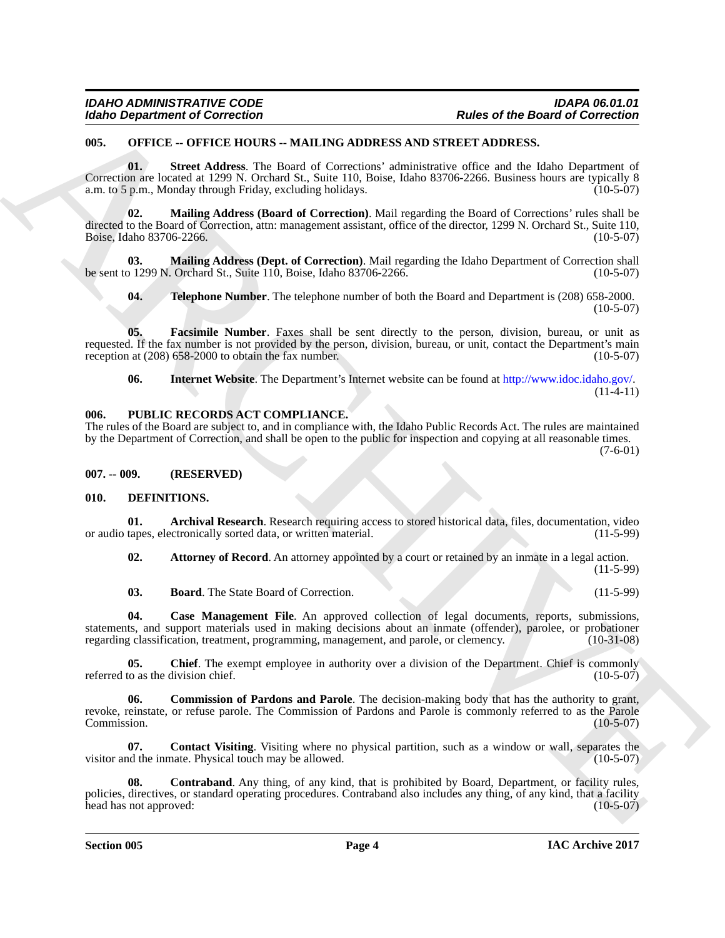### <span id="page-3-0"></span>**005. OFFICE -- OFFICE HOURS -- MAILING ADDRESS AND STREET ADDRESS.**

**01. Street Address**. The Board of Corrections' administrative office and the Idaho Department of Correction are located at 1299 N. Orchard St., Suite 110, Boise, Idaho 83706-2266. Business hours are typically 8 a.m. to 5 p.m., Monday through Friday, excluding holidays. (10-5-07)

Moind Department of Correction<br>
USE: A DVICE - ANALLENG ADDRESS AND STREET AND STREET AND CONTROL (SEE THE CORRECTION)<br>
USE: CONTROL HOW THE MOVE - ANALLENG ADDRESS AND STREET AND STREET AND LOT CONTROL (SEE THE SEE THE S **02. Mailing Address (Board of Correction)**. Mail regarding the Board of Corrections' rules shall be directed to the Board of Correction, attn: management assistant, office of the director, 1299 N. Orchard St., Suite 110, Boise, Idaho 83706-2266.

**03.** Mailing Address (Dept. of Correction). Mail regarding the Idaho Department of Correction shall of 2299 N. Orchard St., Suite 110, Boise, Idaho 83706-2266. be sent to 1299 N. Orchard St., Suite 110, Boise, Idaho 83706-2266.

**04. Telephone Number**. The telephone number of both the Board and Department is (208) 658-2000.  $(10-5-07)$ 

**05. Facsimile Number**. Faxes shall be sent directly to the person, division, bureau, or unit as requested. If the fax number is not provided by the person, division, bureau, or unit, contact the Department's main reception at (208) 658-2000 to obtain the fax number. (10-5-07)

**06. Internet Website**. The Department's Internet website can be found at http://www.idoc.idaho.gov/.  $(11-4-11)$ 

#### <span id="page-3-1"></span>**006. PUBLIC RECORDS ACT COMPLIANCE.**

The rules of the Board are subject to, and in compliance with, the Idaho Public Records Act. The rules are maintained by the Department of Correction, and shall be open to the public for inspection and copying at all reasonable times. (7-6-01)

<span id="page-3-2"></span>**007. -- 009. (RESERVED)**

### <span id="page-3-4"></span><span id="page-3-3"></span>**010. DEFINITIONS.**

**01.** Archival Research. Research requiring access to stored historical data, files, documentation, video tapes, electronically sorted data, or written material. (11-5-99) or audio tapes, electronically sorted data, or written material.

<span id="page-3-6"></span><span id="page-3-5"></span>**02.** Attorney of Record. An attorney appointed by a court or retained by an inmate in a legal action.

(11-5-99)

<span id="page-3-9"></span><span id="page-3-8"></span><span id="page-3-7"></span>**03. Board**. The State Board of Correction. (11-5-99)

**04. Case Management File**. An approved collection of legal documents, reports, submissions, statements, and support materials used in making decisions about an inmate (offender), parolee, or probationer regarding classification, treatment, programming, management, and parole, or clemency. (10-31-08) regarding classification, treatment, programming, management, and parole, or clemency.

**05.** Chief. The exempt employee in authority over a division of the Department. Chief is commonly to as the division chief. (10-5-07) referred to as the division chief.

<span id="page-3-10"></span>**06. Commission of Pardons and Parole**. The decision-making body that has the authority to grant, revoke, reinstate, or refuse parole. The Commission of Pardons and Parole is commonly referred to as the Parole<br>Commission. (10-5-07) Commission. (10-5-07)

<span id="page-3-11"></span>**07. Contact Visiting**. Visiting where no physical partition, such as a window or wall, separates the definition of the inmate. Physical touch may be allowed. visitor and the inmate. Physical touch may be allowed.

<span id="page-3-12"></span>**08. Contraband**. Any thing, of any kind, that is prohibited by Board, Department, or facility rules, policies, directives, or standard operating procedures. Contraband also includes any thing, of any kind, that a facility head has not approved: (10-5-07) head has not approved:

**Section 005 Page 4**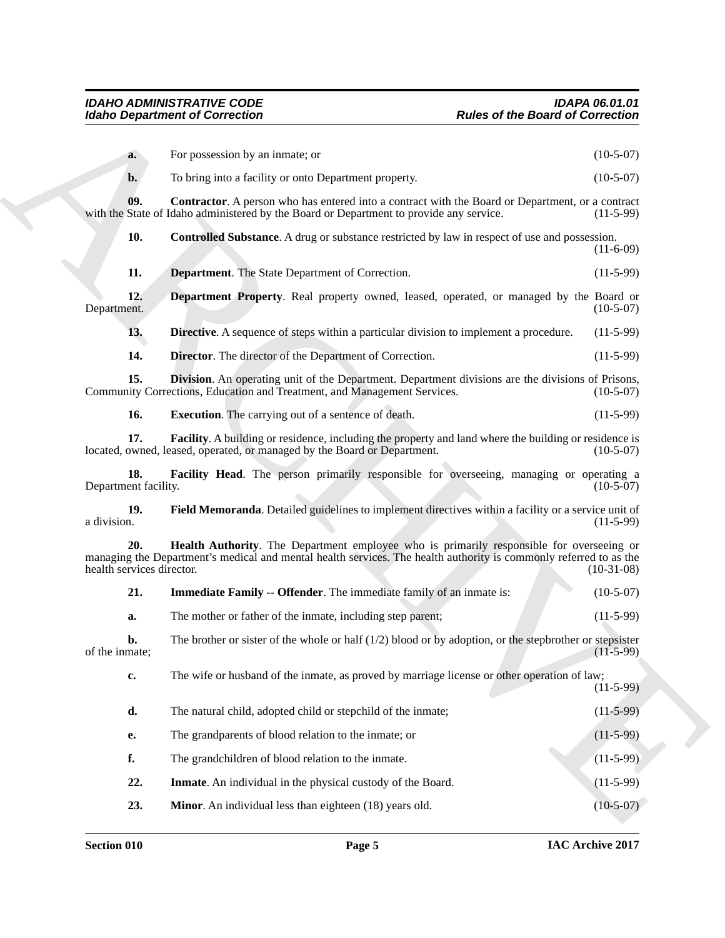<span id="page-4-14"></span><span id="page-4-13"></span><span id="page-4-12"></span><span id="page-4-11"></span><span id="page-4-10"></span><span id="page-4-9"></span><span id="page-4-8"></span><span id="page-4-7"></span><span id="page-4-6"></span><span id="page-4-5"></span><span id="page-4-4"></span><span id="page-4-3"></span><span id="page-4-2"></span><span id="page-4-1"></span><span id="page-4-0"></span>

| <b>Idaho Department of Correction</b> |                                                                                                                                                                                                               | <b>Rules of the Board of Correction</b> |  |
|---------------------------------------|---------------------------------------------------------------------------------------------------------------------------------------------------------------------------------------------------------------|-----------------------------------------|--|
| a.                                    | For possession by an inmate; or                                                                                                                                                                               | $(10-5-07)$                             |  |
| $b$                                   | To bring into a facility or onto Department property.                                                                                                                                                         | $(10-5-07)$                             |  |
| 09.                                   | <b>Contractor.</b> A person who has entered into a contract with the Board or Department, or a contract<br>with the State of Idaho administered by the Board or Department to provide any service.            | $(11-5-99)$                             |  |
| 10.                                   | <b>Controlled Substance</b> . A drug or substance restricted by law in respect of use and possession.                                                                                                         | $(11-6-09)$                             |  |
| 11.                                   | <b>Department</b> . The State Department of Correction.                                                                                                                                                       | $(11-5-99)$                             |  |
| 12.<br>Department.                    | Department Property. Real property owned, leased, operated, or managed by the Board or                                                                                                                        | $(10-5-07)$                             |  |
| 13.                                   | <b>Directive.</b> A sequence of steps within a particular division to implement a procedure.                                                                                                                  | $(11-5-99)$                             |  |
| 14.                                   | <b>Director.</b> The director of the Department of Correction.                                                                                                                                                | $(11-5-99)$                             |  |
| 15.                                   | <b>Division.</b> An operating unit of the Department. Department divisions are the divisions of Prisons,<br>Community Corrections, Education and Treatment, and Management Services.                          | $(10-5-07)$                             |  |
| 16.                                   | <b>Execution.</b> The carrying out of a sentence of death.                                                                                                                                                    | $(11-5-99)$                             |  |
| 17.                                   | <b>Facility.</b> A building or residence, including the property and land where the building or residence is<br>located, owned, leased, operated, or managed by the Board or Department.                      | $(10-5-07)$                             |  |
| 18.<br>Department facility.           | Facility Head. The person primarily responsible for overseeing, managing or operating a                                                                                                                       | $(10-5-07)$                             |  |
| 19.<br>a division.                    | Field Memoranda. Detailed guidelines to implement directives within a facility or a service unit of                                                                                                           | $(11-5-99)$                             |  |
| 20.<br>health services director.      | Health Authority. The Department employee who is primarily responsible for overseeing or<br>managing the Department's medical and mental health services. The health authority is commonly referred to as the | $(10-31-08)$                            |  |
| 21.                                   | <b>Immediate Family -- Offender</b> . The immediate family of an inmate is:                                                                                                                                   | $(10-5-07)$                             |  |
| a.                                    | The mother or father of the inmate, including step parent;                                                                                                                                                    | $(11-5-99)$                             |  |
| b.<br>of the inmate;                  | The brother or sister of the whole or half $(1/2)$ blood or by adoption, or the stepbrother or stepsister                                                                                                     | $(11-5-99)$                             |  |
| $\mathbf{c}$                          | The wife or husband of the inmate, as proved by marriage license or other operation of law;                                                                                                                   | $(11-5-99)$                             |  |
| d.                                    | The natural child, adopted child or stepchild of the inmate;                                                                                                                                                  | $(11-5-99)$                             |  |
| e.                                    | The grandparents of blood relation to the inmate; or                                                                                                                                                          | $(11-5-99)$                             |  |
| f.                                    | The grandchildren of blood relation to the inmate.                                                                                                                                                            | $(11-5-99)$                             |  |
| 22.                                   | Inmate. An individual in the physical custody of the Board.                                                                                                                                                   | $(11-5-99)$                             |  |
| 23.                                   | Minor. An individual less than eighteen (18) years old.                                                                                                                                                       | $(10-5-07)$                             |  |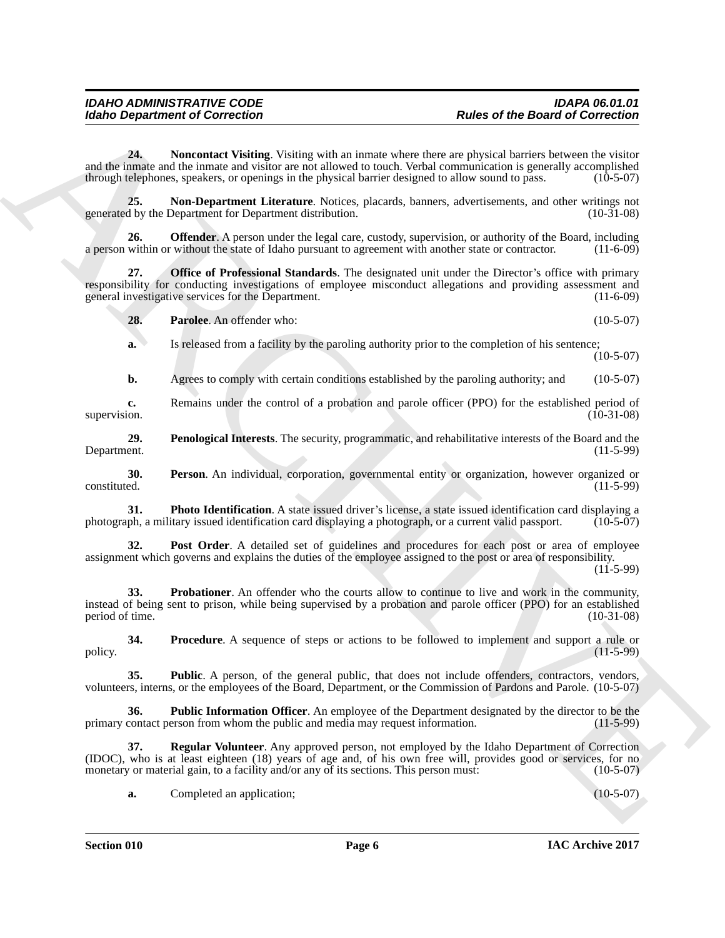<span id="page-5-0"></span>**24. Noncontact Visiting**. Visiting with an inmate where there are physical barriers between the visitor and the inmate and the inmate and visitor are not allowed to touch. Verbal communication is generally accomplished through telephones, speakers, or openings in the physical barrier designed to allow sound to pass. (10-5-07)

<span id="page-5-1"></span>**25. Non-Department Literature**. Notices, placards, banners, advertisements, and other writings not d by the Department for Department distribution. (10-31-08) generated by the Department for Department distribution.

<span id="page-5-2"></span>**26. Offender**. A person under the legal care, custody, supervision, or authority of the Board, including a person within or without the state of Idaho pursuant to agreement with another state or contractor. (11-6-09)

**27. Office of Professional Standards**. The designated unit under the Director's office with primary responsibility for conducting investigations of employee misconduct allegations and providing assessment and general investigative services for the Department. (11-6-09)

<span id="page-5-4"></span><span id="page-5-3"></span>**28. Parolee**. An offender who: (10-5-07)

**a.** Is released from a facility by the paroling authority prior to the completion of his sentence;  $(10-5-07)$ 

<span id="page-5-5"></span>**b.** Agrees to comply with certain conditions established by the paroling authority; and (10-5-07)

**c.** Remains under the control of a probation and parole officer (PPO) for the established period of supervision. (10-31-08) supervision. (10-31-08) (10-31-08) (10-31-08)

**29.** Penological Interests. The security, programmatic, and rehabilitative interests of the Board and the ent. (11-5-99) Department.

<span id="page-5-6"></span>**30.** Person. An individual, corporation, governmental entity or organization, however organized or constituted.  $(11-5-99)$ constituted. (11-5-99)

<span id="page-5-7"></span>**31. Photo Identification**. A state issued driver's license, a state issued identification card displaying a photograph, or a current valid passport. (10-5-07) photograph, a military issued identification card displaying a photograph, or a current valid passport.

<span id="page-5-9"></span><span id="page-5-8"></span>**32. Post Order**. A detailed set of guidelines and procedures for each post or area of employee assignment which governs and explains the duties of the employee assigned to the post or area of responsibility.

 $(11 - 5 - 99)$ 

Morio Department of Correction<br>
2.4de no distribution with an interaction between the particle of the Board of Correction<br>
2.4de no distribution with the state of the Correction and Schedul Schedul Correction<br>
2.4de no di **33. Probationer**. An offender who the courts allow to continue to live and work in the community, instead of being sent to prison, while being supervised by a probation and parole officer (PPO) for an established period of time. (10-31-08)

<span id="page-5-10"></span>**34.** Procedure. A sequence of steps or actions to be followed to implement and support a rule or (11-5-99) policy.  $(11-5-99)$ 

<span id="page-5-11"></span>**35. Public**. A person, of the general public, that does not include offenders, contractors, vendors, volunteers, interns, or the employees of the Board, Department, or the Commission of Pardons and Parole. (10-5-07)

<span id="page-5-12"></span>**36. Public Information Officer**. An employee of the Department designated by the director to be the contact person from whom the public and media may request information. (11-5-99) primary contact person from whom the public and media may request information.

**37. Regular Volunteer**. Any approved person, not employed by the Idaho Department of Correction (IDOC), who is at least eighteen (18) years of age and, of his own free will, provides good or services, for no monetary or material gain, to a facility and/or any of its sections. This person must: (10-5-07)

<span id="page-5-13"></span>**a.** Completed an application; (10-5-07)

**Section 010 Page 6**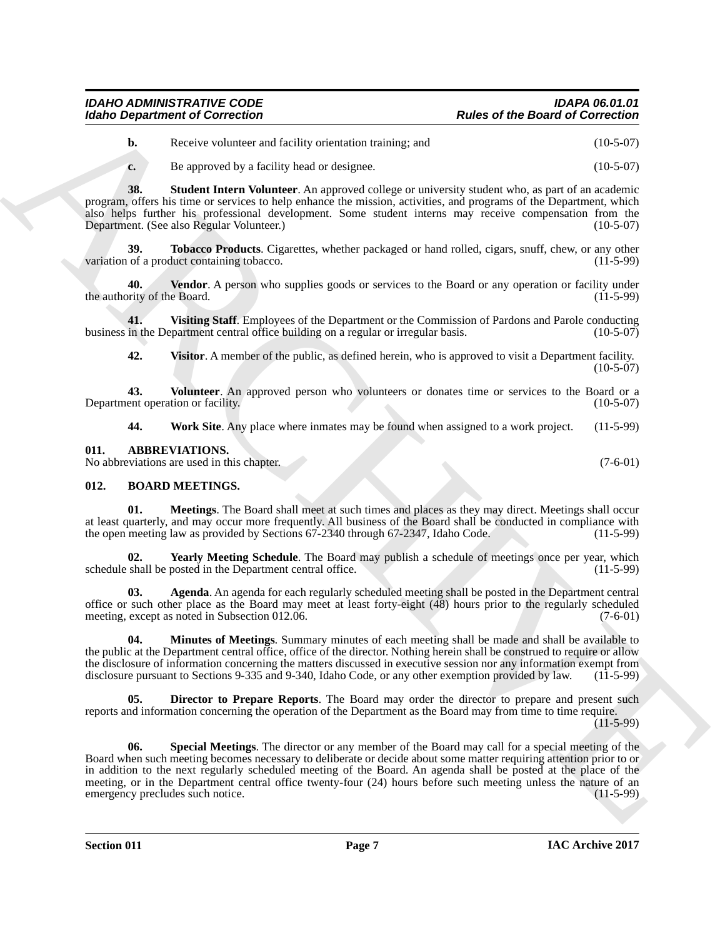| <b>IDAHO ADMINISTRATIVE CODE</b>      | <b>IDAPA 06.01.01</b>                   |
|---------------------------------------|-----------------------------------------|
| <b>Idaho Department of Correction</b> | <b>Rules of the Board of Correction</b> |

<span id="page-6-11"></span><span id="page-6-10"></span>**c.** Be approved by a facility head or designee. (10-5-07)

**38. Student Intern Volunteer**. An approved college or university student who, as part of an academic program, offers his time or services to help enhance the mission, activities, and programs of the Department, which also helps further his professional development. Some student interns may receive compensation from the Department. (See also Regular Volunteer.) (10-5-07)

**39. Tobacco Products**. Cigarettes, whether packaged or hand rolled, cigars, snuff, chew, or any other duct containing tobacco. (11-5-99) variation of a product containing tobacco.

<span id="page-6-12"></span>**4 Vendor**. A person who supplies goods or services to the Board or any operation or facility under e Board. (11-5-99) the authority of the Board.

**41.** Visiting Staff. Employees of the Department or the Commission of Pardons and Parole conducting in the Department central office building on a regular or irregular basis. (10-5-07) business in the Department central office building on a regular or irregular basis.

<span id="page-6-15"></span><span id="page-6-14"></span><span id="page-6-13"></span>**42. Visitor**. A member of the public, as defined herein, who is approved to visit a Department facility.  $(10-5-07)$ 

**43.** Volunteer. An approved person who volunteers or donates time or services to the Board or a ent operation or facility. (10-5-07) Department operation or facility.

<span id="page-6-16"></span><span id="page-6-2"></span>**44. Work Site**. Any place where inmates may be found when assigned to a work project. (11-5-99)

<span id="page-6-0"></span>**011. ABBREVIATIONS.**

No abbreviations are used in this chapter. (7-6-01)

### <span id="page-6-3"></span><span id="page-6-1"></span>**012. BOARD MEETINGS.**

<span id="page-6-6"></span>**01. Meetings**. The Board shall meet at such times and places as they may direct. Meetings shall occur at least quarterly, and may occur more frequently. All business of the Board shall be conducted in compliance with the open meeting law as provided by Sections 67-2340 through 67-2347, Idaho Code. (11-5-99)

<span id="page-6-9"></span>**02. Yearly Meeting Schedule**. The Board may publish a schedule of meetings once per year, which shall be posted in the Department central office. (11-5-99) schedule shall be posted in the Department central office.

<span id="page-6-4"></span>**03. Agenda**. An agenda for each regularly scheduled meeting shall be posted in the Department central office or such other place as the Board may meet at least forty-eight (48) hours prior to the regularly scheduled meeting, except as noted in Subsection 012.06. (7-6-01)

<span id="page-6-7"></span>**04. Minutes of Meetings**. Summary minutes of each meeting shall be made and shall be available to the public at the Department central office, office of the director. Nothing herein shall be construed to require or allow the disclosure of information concerning the matters discussed in executive session nor any information exempt from<br>disclosure pursuant to Sections 9-335 and 9-340, Idaho Code, or any other exemption provided by law. (11-5 disclosure pursuant to Sections 9-335 and 9-340, Idaho Code, or any other exemption provided by law.

<span id="page-6-8"></span><span id="page-6-5"></span>**Director to Prepare Reports**. The Board may order the director to prepare and present such reports and information concerning the operation of the Department as the Board may from time to time require.

 $(11-5-99)$ 

For the Concerning of Correction<br>
We are the Board of Correction<br>
the spectra velocity stating stating and<br>
the proceeding of the Correction<br>
Note that the spectra velocity is an original of the spectra correction and the **06. Special Meetings**. The director or any member of the Board may call for a special meeting of the Board when such meeting becomes necessary to deliberate or decide about some matter requiring attention prior to or in addition to the next regularly scheduled meeting of the Board. An agenda shall be posted at the place of the meeting, or in the Department central office twenty-four (24) hours before such meeting unless the nature of an<br>emergency precludes such notice. (11-5-99) emergency precludes such notice.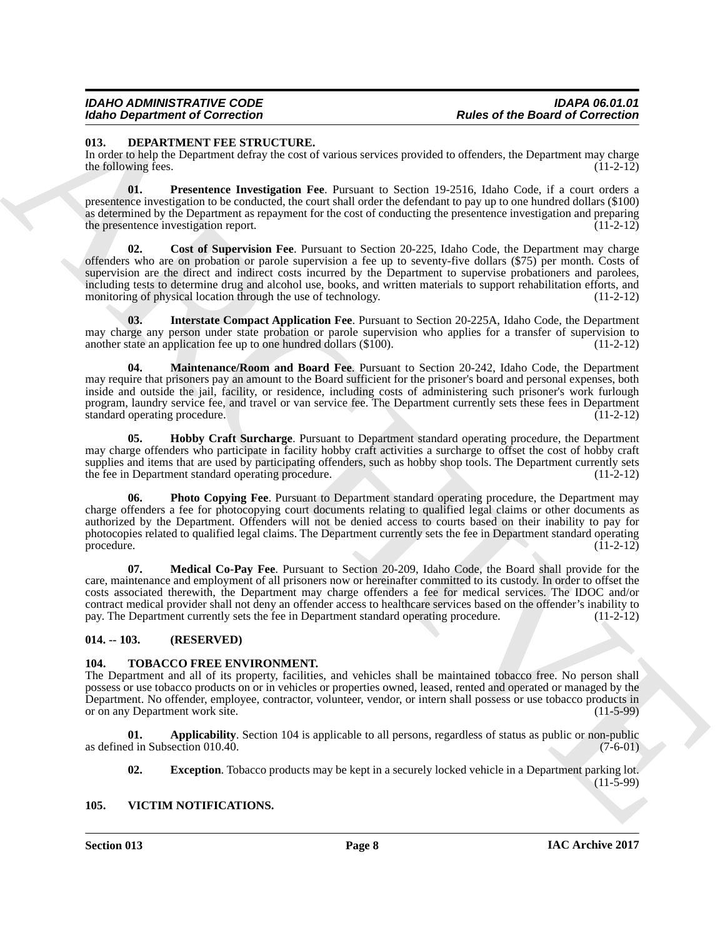### <span id="page-7-4"></span><span id="page-7-0"></span>**013. DEPARTMENT FEE STRUCTURE.**

In order to help the Department defray the cost of various services provided to offenders, the Department may charge the following fees.

<span id="page-7-11"></span><span id="page-7-5"></span>**01. Presentence Investigation Fee**. Pursuant to Section 19-2516, Idaho Code, if a court orders a presentence investigation to be conducted, the court shall order the defendant to pay up to one hundred dollars (\$100) as determined by the Department as repayment for the cost of conducting the presentence investigation and preparing the presentence investigation report. (11-2-12)

Follow Organization of Connection Connection and the Board of Connection<br>
1933. BEPARTMENT PER STRUCTURE<br>
1933. BEPARTMENT PER STRUCTURE<br>
1933. BEPARTMENT PER STRUCTURE<br>
1933. BEPARTMENT PER STRUCTURE<br>
1933. BEPARTMENT PE **Cost of Supervision Fee**. Pursuant to Section 20-225, Idaho Code, the Department may charge offenders who are on probation or parole supervision a fee up to seventy-five dollars (\$75) per month. Costs of supervision are the direct and indirect costs incurred by the Department to supervise probationers and parolees, including tests to determine drug and alcohol use, books, and written materials to support rehabilitation efforts, and monitoring of physical location through the use of technology. (11-2-12)

<span id="page-7-7"></span>**03. Interstate Compact Application Fee**. Pursuant to Section 20-225A, Idaho Code, the Department may charge any person under state probation or parole supervision who applies for a transfer of supervision to another state an application fee up to one hundred dollars (\$100). (11-2-12) another state an application fee up to one hundred dollars  $(\$100)$ .

<span id="page-7-8"></span>**04. Maintenance/Room and Board Fee**. Pursuant to Section 20-242, Idaho Code, the Department may require that prisoners pay an amount to the Board sufficient for the prisoner's board and personal expenses, both inside and outside the jail, facility, or residence, including costs of administering such prisoner's work furlough program, laundry service fee, and travel or van service fee. The Department currently sets these fees in Department standard operating procedure. (11-2-12)

<span id="page-7-6"></span>**05. Hobby Craft Surcharge**. Pursuant to Department standard operating procedure, the Department may charge offenders who participate in facility hobby craft activities a surcharge to offset the cost of hobby craft supplies and items that are used by participating offenders, such as hobby shop tools. The Department currently sets<br>the fee in Department standard operating procedure. (11-2-12) the fee in Department standard operating procedure.

<span id="page-7-10"></span>**06. Photo Copying Fee**. Pursuant to Department standard operating procedure, the Department may charge offenders a fee for photocopying court documents relating to qualified legal claims or other documents as authorized by the Department. Offenders will not be denied access to courts based on their inability to pay for photocopies related to qualified legal claims. The Department currently sets the fee in Department standard operating<br>(11-2-12) procedure.  $(11-2-12)$ 

<span id="page-7-9"></span>**07. Medical Co-Pay Fee**. Pursuant to Section 20-209, Idaho Code, the Board shall provide for the care, maintenance and employment of all prisoners now or hereinafter committed to its custody. In order to offset the costs associated therewith, the Department may charge offenders a fee for medical services. The IDOC and/or contract medical provider shall not deny an offender access to healthcare services based on the offender's inability to pay. The Department currently sets the fee in Department standard operating procedure. (11-2-12)

### <span id="page-7-1"></span>**014. -- 103. (RESERVED)**

### <span id="page-7-12"></span><span id="page-7-2"></span>**104. TOBACCO FREE ENVIRONMENT.**

The Department and all of its property, facilities, and vehicles shall be maintained tobacco free. No person shall possess or use tobacco products on or in vehicles or properties owned, leased, rented and operated or managed by the Department. No offender, employee, contractor, volunteer, vendor, or intern shall possess or use tobacco products in or on any Department work site.

**01. Applicability**. Section 104 is applicable to all persons, regardless of status as public or non-public as defined in Subsection 010.40. (7-6-01)

<span id="page-7-15"></span><span id="page-7-14"></span><span id="page-7-13"></span>**02. Exception**. Tobacco products may be kept in a securely locked vehicle in a Department parking lot.  $(11-5-99)$ 

### <span id="page-7-3"></span>**105. VICTIM NOTIFICATIONS.**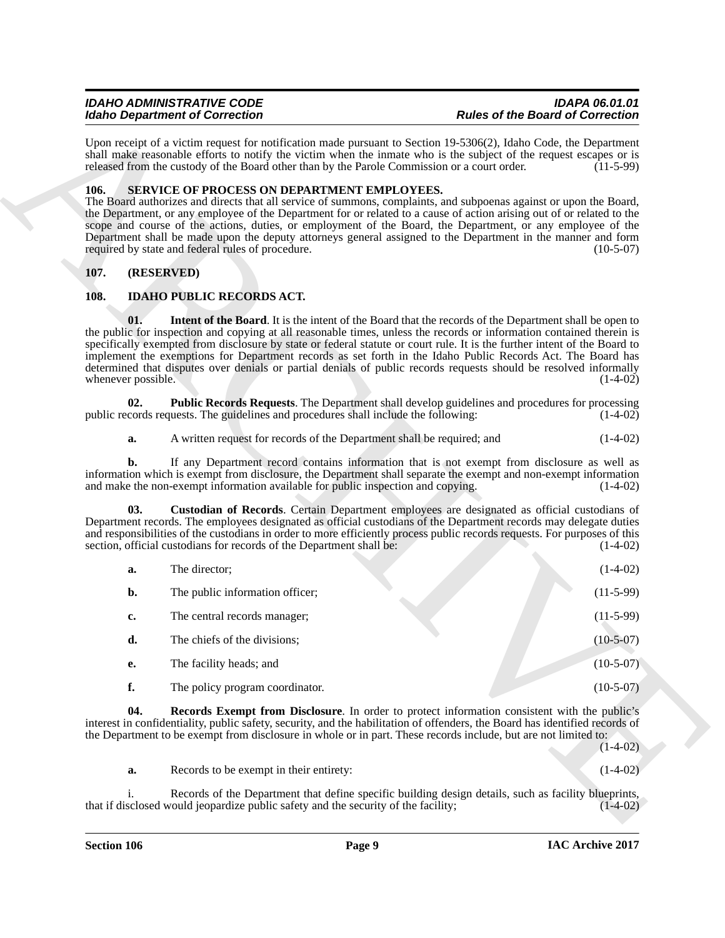### <span id="page-8-8"></span><span id="page-8-0"></span>**106. SERVICE OF PROCESS ON DEPARTMENT EMPLOYEES.**

### <span id="page-8-1"></span>**107. (RESERVED)**

### <span id="page-8-6"></span><span id="page-8-5"></span><span id="page-8-4"></span><span id="page-8-3"></span><span id="page-8-2"></span>**108. IDAHO PUBLIC RECORDS ACT.**

|      |                                                                                                                                                                                                                                                                                                                                                        | <b>Idaho Department of Correction</b>                                                                           | <b>Rules of the Board of Correction</b>                                                                                                                                                                                                                                                                                                                                                                                                                                                                                                                                                                                |  |  |
|------|--------------------------------------------------------------------------------------------------------------------------------------------------------------------------------------------------------------------------------------------------------------------------------------------------------------------------------------------------------|-----------------------------------------------------------------------------------------------------------------|------------------------------------------------------------------------------------------------------------------------------------------------------------------------------------------------------------------------------------------------------------------------------------------------------------------------------------------------------------------------------------------------------------------------------------------------------------------------------------------------------------------------------------------------------------------------------------------------------------------------|--|--|
|      | Upon receipt of a victim request for notification made pursuant to Section 19-5306(2), Idaho Code, the Department<br>shall make reasonable efforts to notify the victim when the inmate who is the subject of the request escapes or is<br>released from the custody of the Board other than by the Parole Commission or a court order.<br>$(11-5-99)$ |                                                                                                                 |                                                                                                                                                                                                                                                                                                                                                                                                                                                                                                                                                                                                                        |  |  |
| 106. |                                                                                                                                                                                                                                                                                                                                                        | SERVICE OF PROCESS ON DEPARTMENT EMPLOYEES.<br>required by state and federal rules of procedure.                | The Board authorizes and directs that all service of summons, complaints, and subpoenas against or upon the Board,<br>the Department, or any employee of the Department for or related to a cause of action arising out of or related to the<br>scope and course of the actions, duties, or employment of the Board, the Department, or any employee of the<br>Department shall be made upon the deputy attorneys general assigned to the Department in the manner and form<br>$(10-5-07)$                                                                                                                             |  |  |
| 107. | (RESERVED)                                                                                                                                                                                                                                                                                                                                             |                                                                                                                 |                                                                                                                                                                                                                                                                                                                                                                                                                                                                                                                                                                                                                        |  |  |
| 108. |                                                                                                                                                                                                                                                                                                                                                        | <b>IDAHO PUBLIC RECORDS ACT.</b>                                                                                |                                                                                                                                                                                                                                                                                                                                                                                                                                                                                                                                                                                                                        |  |  |
|      | 01.<br>whenever possible.                                                                                                                                                                                                                                                                                                                              |                                                                                                                 | <b>Intent of the Board</b> . It is the intent of the Board that the records of the Department shall be open to<br>the public for inspection and copying at all reasonable times, unless the records or information contained therein is<br>specifically exempted from disclosure by state or federal statute or court rule. It is the further intent of the Board to<br>implement the exemptions for Department records as set forth in the Idaho Public Records Act. The Board has<br>determined that disputes over denials or partial denials of public records requests should be resolved informally<br>$(1-4-02)$ |  |  |
|      | 02.                                                                                                                                                                                                                                                                                                                                                    | public records requests. The guidelines and procedures shall include the following:                             | <b>Public Records Requests.</b> The Department shall develop guidelines and procedures for processing<br>$(1-4-02)$                                                                                                                                                                                                                                                                                                                                                                                                                                                                                                    |  |  |
|      | a.                                                                                                                                                                                                                                                                                                                                                     | A written request for records of the Department shall be required; and                                          | $(1-4-02)$                                                                                                                                                                                                                                                                                                                                                                                                                                                                                                                                                                                                             |  |  |
|      | b.                                                                                                                                                                                                                                                                                                                                                     | and make the non-exempt information available for public inspection and copying.                                | If any Department record contains information that is not exempt from disclosure as well as<br>information which is exempt from disclosure, the Department shall separate the exempt and non-exempt information<br>$(1-4-02)$                                                                                                                                                                                                                                                                                                                                                                                          |  |  |
|      | 03.                                                                                                                                                                                                                                                                                                                                                    | section, official custodians for records of the Department shall be:                                            | Custodian of Records. Certain Department employees are designated as official custodians of<br>Department records. The employees designated as official custodians of the Department records may delegate duties<br>and responsibilities of the custodians in order to more efficiently process public records requests. For purposes of this<br>$(1-4-02)$                                                                                                                                                                                                                                                            |  |  |
|      | a.                                                                                                                                                                                                                                                                                                                                                     | The director;                                                                                                   | $(1-4-02)$                                                                                                                                                                                                                                                                                                                                                                                                                                                                                                                                                                                                             |  |  |
|      | b.                                                                                                                                                                                                                                                                                                                                                     | The public information officer;                                                                                 | $(11-5-99)$                                                                                                                                                                                                                                                                                                                                                                                                                                                                                                                                                                                                            |  |  |
|      | c.                                                                                                                                                                                                                                                                                                                                                     | The central records manager;                                                                                    | $(11-5-99)$                                                                                                                                                                                                                                                                                                                                                                                                                                                                                                                                                                                                            |  |  |
|      | d.                                                                                                                                                                                                                                                                                                                                                     | The chiefs of the divisions;                                                                                    | $(10-5-07)$                                                                                                                                                                                                                                                                                                                                                                                                                                                                                                                                                                                                            |  |  |
|      | е.                                                                                                                                                                                                                                                                                                                                                     | The facility heads; and                                                                                         | $(10-5-07)$                                                                                                                                                                                                                                                                                                                                                                                                                                                                                                                                                                                                            |  |  |
|      | f.                                                                                                                                                                                                                                                                                                                                                     | The policy program coordinator.                                                                                 | $(10-5-07)$                                                                                                                                                                                                                                                                                                                                                                                                                                                                                                                                                                                                            |  |  |
|      | 04.                                                                                                                                                                                                                                                                                                                                                    | the Department to be exempt from disclosure in whole or in part. These records include, but are not limited to: | <b>Records Exempt from Disclosure</b> . In order to protect information consistent with the public's<br>interest in confidentiality, public safety, security, and the habilitation of offenders, the Board has identified records of<br>$(1-4-02)$                                                                                                                                                                                                                                                                                                                                                                     |  |  |
|      | a.                                                                                                                                                                                                                                                                                                                                                     | Records to be exempt in their entirety:                                                                         | $(1-4-02)$                                                                                                                                                                                                                                                                                                                                                                                                                                                                                                                                                                                                             |  |  |
|      | i.                                                                                                                                                                                                                                                                                                                                                     | that if disclosed would jeopardize public safety and the security of the facility;                              | Records of the Department that define specific building design details, such as facility blueprints,<br>$(1-4-02)$                                                                                                                                                                                                                                                                                                                                                                                                                                                                                                     |  |  |

<span id="page-8-7"></span>

| Records to be exempt in their entirety: | $(1-4-02)$ |
|-----------------------------------------|------------|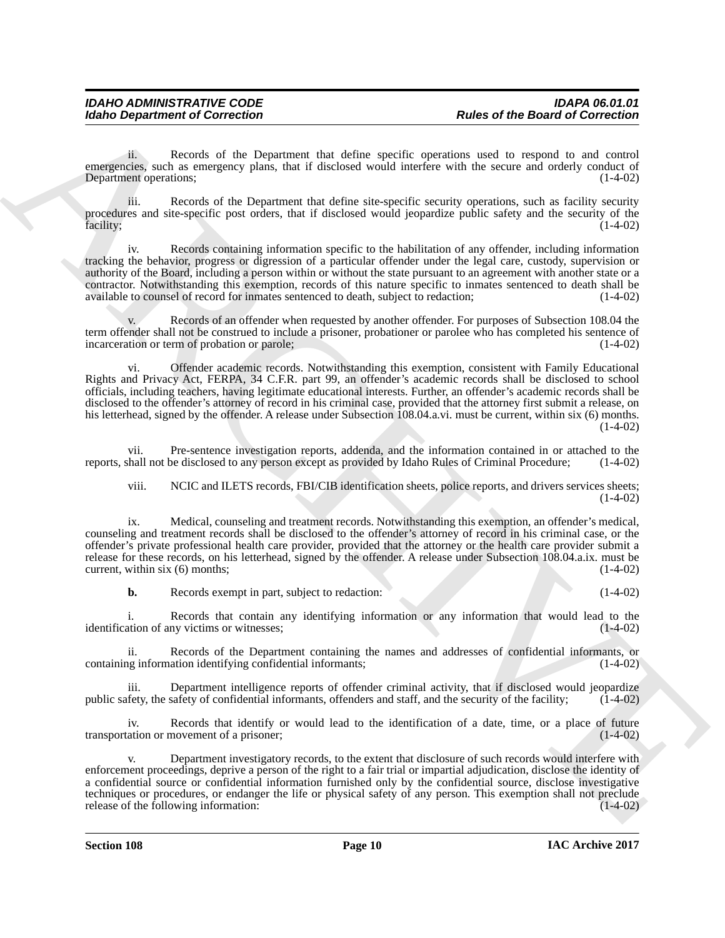ii. Records of the Department that define specific operations used to respond to and control emergencies, such as emergency plans, that if disclosed would interfere with the secure and orderly conduct of Department operations: (1-4-02) Department operations;

iii. Records of the Department that define site-specific security operations, such as facility security procedures and site-specific post orders, that if disclosed would jeopardize public safety and the security of the facility; (1-4-02) facility; (1-4-02) (1-4-02)

Records containing information specific to the habilitation of any offender, including information tracking the behavior, progress or digression of a particular offender under the legal care, custody, supervision or authority of the Board, including a person within or without the state pursuant to an agreement with another state or a contractor. Notwithstanding this exemption, records of this nature specific to inmates sentenced to death shall be available to counsel of record for inmates sentenced to death, subject to redaction; (1-4-02)

Records of an offender when requested by another offender. For purposes of Subsection 108.04 the term offender shall not be construed to include a prisoner, probationer or parolee who has completed his sentence of incarceration or term of probation or parole: (1-4-02) incarceration or term of probation or parole;

For the Board of Correction<br>
when the correction of the Board of Correction<br>
Correction of the Operator distribution in the correction of the state of the Correction of the Correction of the Correction of the Correction o vi. Offender academic records. Notwithstanding this exemption, consistent with Family Educational Rights and Privacy Act, FERPA, 34 C.F.R. part 99, an offender's academic records shall be disclosed to school officials, including teachers, having legitimate educational interests. Further, an offender's academic records shall be disclosed to the offender's attorney of record in his criminal case, provided that the attorney first submit a release, on his letterhead, signed by the offender. A release under Subsection 108.04.a.vi. must be current, within six (6) months.  $(1-4-02)$ 

vii. Pre-sentence investigation reports, addenda, and the information contained in or attached to the shall not be disclosed to any person except as provided by Idaho Rules of Criminal Procedure; (1-4-02) reports, shall not be disclosed to any person except as provided by Idaho Rules of Criminal Procedure;

viii. NCIC and ILETS records, FBI/CIB identification sheets, police reports, and drivers services sheets;  $(1-4-02)$ 

ix. Medical, counseling and treatment records. Notwithstanding this exemption, an offender's medical, counseling and treatment records shall be disclosed to the offender's attorney of record in his criminal case, or the offender's private professional health care provider, provided that the attorney or the health care provider submit a release for these records, on his letterhead, signed by the offender. A release under Subsection 108.04.a.ix. must be current, within six (6) months: (1-4-02) current, within six  $(6)$  months;

**b.** Records exempt in part, subject to redaction: (1-4-02)

i. Records that contain any identifying information or any information that would lead to the ation of any victims or witnesses; (1-4-02) identification of any victims or witnesses;

ii. Records of the Department containing the names and addresses of confidential informants, or origin formation identifying confidential informants; (1-4-02) containing information identifying confidential informants;

iii. Department intelligence reports of offender criminal activity, that if disclosed would jeopardize public safety, the safety of confidential informants, offenders and staff, and the security of the facility; (1-4-02)

iv. Records that identify or would lead to the identification of a date, time, or a place of future ation or movement of a prisoner; transportation or movement of a prisoner;

v. Department investigatory records, to the extent that disclosure of such records would interfere with enforcement proceedings, deprive a person of the right to a fair trial or impartial adjudication, disclose the identity of a confidential source or confidential information furnished only by the confidential source, disclose investigative techniques or procedures, or endanger the life or physical safety of any person. This exemption shall not preclude release of the following information: (1-4-02) release of the following information: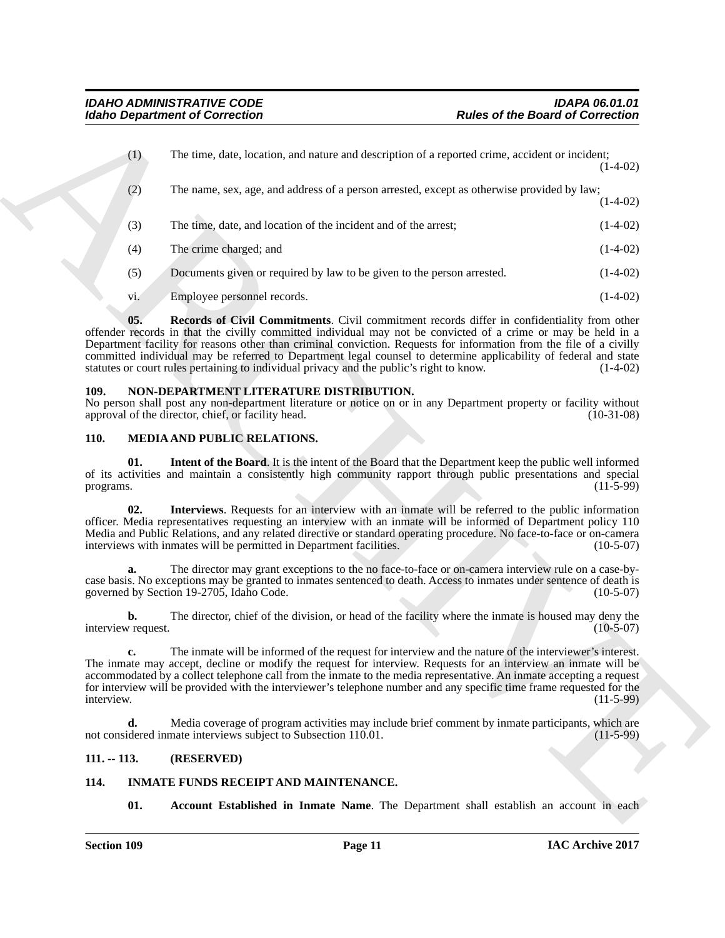| The time, date, location, and nature and description of a reported crime, accident or incident;<br>(1)<br>The name, sex, age, and address of a person arrested, except as otherwise provided by law;<br>(2)<br>The time, date, and location of the incident and of the arrest;<br>(3)<br>(4)<br>The crime charged; and<br>(5)<br>Documents given or required by law to be given to the person arrested.<br>Employee personnel records.<br>vi.<br>05.<br>Records of Civil Commitments. Civil commitment records differ in confidentiality from other<br>offender records in that the civilly committed individual may not be convicted of a crime or may be held in a<br>Department facility for reasons other than criminal conviction. Requests for information from the file of a civilly<br>committed individual may be referred to Department legal counsel to determine applicability of federal and state<br>statutes or court rules pertaining to individual privacy and the public's right to know.<br>NON-DEPARTMENT LITERATURE DISTRIBUTION.<br>109.<br>No person shall post any non-department literature or notice on or in any Department property or facility without<br>approval of the director, chief, or facility head.<br><b>110.</b><br>MEDIA AND PUBLIC RELATIONS.<br><b>Intent of the Board.</b> It is the intent of the Board that the Department keep the public well informed<br>01.<br>of its activities and maintain a consistently high community rapport through public presentations and special<br>programs.<br>02.<br><b>Interviews.</b> Requests for an interview with an inmate will be referred to the public information<br>officer. Media representatives requesting an interview with an inmate will be informed of Department policy 110<br>Media and Public Relations, and any related directive or standard operating procedure. No face-to-face or on-camera<br>interviews with inmates will be permitted in Department facilities.<br>The director may grant exceptions to the no face-to-face or on-camera interview rule on a case-by-<br>a.<br>case basis. No exceptions may be granted to inmates sentenced to death. Access to inmates under sentence of death is<br>governed by Section 19-2705, Idaho Code.<br>The director, chief of the division, or head of the facility where the inmate is housed may deny the<br>b.<br>interview request. |              |
|---------------------------------------------------------------------------------------------------------------------------------------------------------------------------------------------------------------------------------------------------------------------------------------------------------------------------------------------------------------------------------------------------------------------------------------------------------------------------------------------------------------------------------------------------------------------------------------------------------------------------------------------------------------------------------------------------------------------------------------------------------------------------------------------------------------------------------------------------------------------------------------------------------------------------------------------------------------------------------------------------------------------------------------------------------------------------------------------------------------------------------------------------------------------------------------------------------------------------------------------------------------------------------------------------------------------------------------------------------------------------------------------------------------------------------------------------------------------------------------------------------------------------------------------------------------------------------------------------------------------------------------------------------------------------------------------------------------------------------------------------------------------------------------------------------------------------------------------------------------------------------------------------------------------------------------------------------------------------------------------------------------------------------------------------------------------------------------------------------------------------------------------------------------------------------------------------------------------------------------------------------------------------------------------------------------------------------------------------------------------------------------------------|--------------|
|                                                                                                                                                                                                                                                                                                                                                                                                                                                                                                                                                                                                                                                                                                                                                                                                                                                                                                                                                                                                                                                                                                                                                                                                                                                                                                                                                                                                                                                                                                                                                                                                                                                                                                                                                                                                                                                                                                                                                                                                                                                                                                                                                                                                                                                                                                                                                                                                   | $(1-4-02)$   |
|                                                                                                                                                                                                                                                                                                                                                                                                                                                                                                                                                                                                                                                                                                                                                                                                                                                                                                                                                                                                                                                                                                                                                                                                                                                                                                                                                                                                                                                                                                                                                                                                                                                                                                                                                                                                                                                                                                                                                                                                                                                                                                                                                                                                                                                                                                                                                                                                   | $(1-4-02)$   |
|                                                                                                                                                                                                                                                                                                                                                                                                                                                                                                                                                                                                                                                                                                                                                                                                                                                                                                                                                                                                                                                                                                                                                                                                                                                                                                                                                                                                                                                                                                                                                                                                                                                                                                                                                                                                                                                                                                                                                                                                                                                                                                                                                                                                                                                                                                                                                                                                   | $(1-4-02)$   |
|                                                                                                                                                                                                                                                                                                                                                                                                                                                                                                                                                                                                                                                                                                                                                                                                                                                                                                                                                                                                                                                                                                                                                                                                                                                                                                                                                                                                                                                                                                                                                                                                                                                                                                                                                                                                                                                                                                                                                                                                                                                                                                                                                                                                                                                                                                                                                                                                   | $(1-4-02)$   |
|                                                                                                                                                                                                                                                                                                                                                                                                                                                                                                                                                                                                                                                                                                                                                                                                                                                                                                                                                                                                                                                                                                                                                                                                                                                                                                                                                                                                                                                                                                                                                                                                                                                                                                                                                                                                                                                                                                                                                                                                                                                                                                                                                                                                                                                                                                                                                                                                   | $(1-4-02)$   |
|                                                                                                                                                                                                                                                                                                                                                                                                                                                                                                                                                                                                                                                                                                                                                                                                                                                                                                                                                                                                                                                                                                                                                                                                                                                                                                                                                                                                                                                                                                                                                                                                                                                                                                                                                                                                                                                                                                                                                                                                                                                                                                                                                                                                                                                                                                                                                                                                   | $(1-4-02)$   |
|                                                                                                                                                                                                                                                                                                                                                                                                                                                                                                                                                                                                                                                                                                                                                                                                                                                                                                                                                                                                                                                                                                                                                                                                                                                                                                                                                                                                                                                                                                                                                                                                                                                                                                                                                                                                                                                                                                                                                                                                                                                                                                                                                                                                                                                                                                                                                                                                   | $(1-4-02)$   |
|                                                                                                                                                                                                                                                                                                                                                                                                                                                                                                                                                                                                                                                                                                                                                                                                                                                                                                                                                                                                                                                                                                                                                                                                                                                                                                                                                                                                                                                                                                                                                                                                                                                                                                                                                                                                                                                                                                                                                                                                                                                                                                                                                                                                                                                                                                                                                                                                   | $(10-31-08)$ |
|                                                                                                                                                                                                                                                                                                                                                                                                                                                                                                                                                                                                                                                                                                                                                                                                                                                                                                                                                                                                                                                                                                                                                                                                                                                                                                                                                                                                                                                                                                                                                                                                                                                                                                                                                                                                                                                                                                                                                                                                                                                                                                                                                                                                                                                                                                                                                                                                   |              |
|                                                                                                                                                                                                                                                                                                                                                                                                                                                                                                                                                                                                                                                                                                                                                                                                                                                                                                                                                                                                                                                                                                                                                                                                                                                                                                                                                                                                                                                                                                                                                                                                                                                                                                                                                                                                                                                                                                                                                                                                                                                                                                                                                                                                                                                                                                                                                                                                   | $(11-5-99)$  |
|                                                                                                                                                                                                                                                                                                                                                                                                                                                                                                                                                                                                                                                                                                                                                                                                                                                                                                                                                                                                                                                                                                                                                                                                                                                                                                                                                                                                                                                                                                                                                                                                                                                                                                                                                                                                                                                                                                                                                                                                                                                                                                                                                                                                                                                                                                                                                                                                   | $(10-5-07)$  |
|                                                                                                                                                                                                                                                                                                                                                                                                                                                                                                                                                                                                                                                                                                                                                                                                                                                                                                                                                                                                                                                                                                                                                                                                                                                                                                                                                                                                                                                                                                                                                                                                                                                                                                                                                                                                                                                                                                                                                                                                                                                                                                                                                                                                                                                                                                                                                                                                   | $(10-5-07)$  |
|                                                                                                                                                                                                                                                                                                                                                                                                                                                                                                                                                                                                                                                                                                                                                                                                                                                                                                                                                                                                                                                                                                                                                                                                                                                                                                                                                                                                                                                                                                                                                                                                                                                                                                                                                                                                                                                                                                                                                                                                                                                                                                                                                                                                                                                                                                                                                                                                   | $(10-5-07)$  |
| The inmate will be informed of the request for interview and the nature of the interviewer's interest.<br>c.<br>The inmate may accept, decline or modify the request for interview. Requests for an interview an inmate will be<br>accommodated by a collect telephone call from the inmate to the media representative. An inmate accepting a request<br>for interview will be provided with the interviewer's telephone number and any specific time frame requested for the<br>interview.                                                                                                                                                                                                                                                                                                                                                                                                                                                                                                                                                                                                                                                                                                                                                                                                                                                                                                                                                                                                                                                                                                                                                                                                                                                                                                                                                                                                                                                                                                                                                                                                                                                                                                                                                                                                                                                                                                      | $(11-5-99)$  |
| d.<br>Media coverage of program activities may include brief comment by inmate participants, which are<br>not considered inmate interviews subject to Subsection 110.01.                                                                                                                                                                                                                                                                                                                                                                                                                                                                                                                                                                                                                                                                                                                                                                                                                                                                                                                                                                                                                                                                                                                                                                                                                                                                                                                                                                                                                                                                                                                                                                                                                                                                                                                                                                                                                                                                                                                                                                                                                                                                                                                                                                                                                          | $(11-5-99)$  |
| $111. - 113.$<br>(RESERVED)                                                                                                                                                                                                                                                                                                                                                                                                                                                                                                                                                                                                                                                                                                                                                                                                                                                                                                                                                                                                                                                                                                                                                                                                                                                                                                                                                                                                                                                                                                                                                                                                                                                                                                                                                                                                                                                                                                                                                                                                                                                                                                                                                                                                                                                                                                                                                                       |              |
| 114.<br><b>INMATE FUNDS RECEIPT AND MAINTENANCE.</b>                                                                                                                                                                                                                                                                                                                                                                                                                                                                                                                                                                                                                                                                                                                                                                                                                                                                                                                                                                                                                                                                                                                                                                                                                                                                                                                                                                                                                                                                                                                                                                                                                                                                                                                                                                                                                                                                                                                                                                                                                                                                                                                                                                                                                                                                                                                                              |              |

### <span id="page-10-10"></span><span id="page-10-4"></span><span id="page-10-0"></span>**109. NON-DEPARTMENT LITERATURE DISTRIBUTION.**

### <span id="page-10-9"></span><span id="page-10-8"></span><span id="page-10-7"></span><span id="page-10-1"></span>**110. MEDIA AND PUBLIC RELATIONS.**

### <span id="page-10-2"></span>**111. -- 113. (RESERVED)**

### <span id="page-10-6"></span><span id="page-10-5"></span><span id="page-10-3"></span>**114. INMATE FUNDS RECEIPT AND MAINTENANCE.**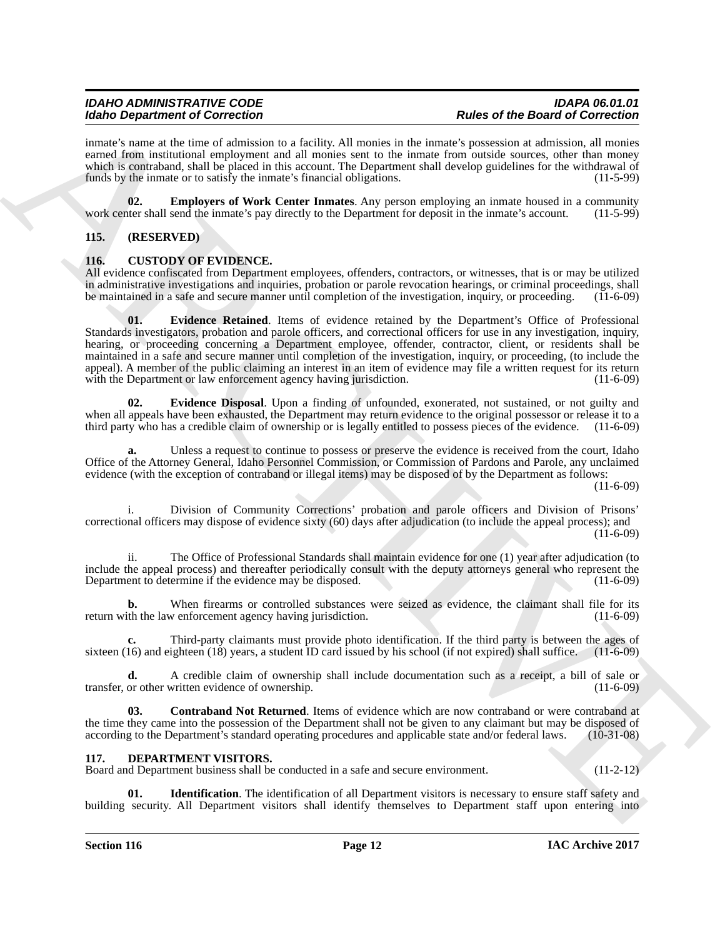inmate's name at the time of admission to a facility. All monies in the inmate's possession at admission, all monies earned from institutional employment and all monies sent to the inmate from outside sources, other than money which is contraband, shall be placed in this account. The Department shall develop guidelines for the withdrawal of funds by the inmate or to satisfy the inmate's financial obligations. (11-5-99)

<span id="page-11-9"></span>**02. Employers of Work Center Inmates**. Any person employing an inmate housed in a community there shall send the inmate's pay directly to the Department for deposit in the inmate's account. (11-5-99) work center shall send the inmate's pay directly to the Department for deposit in the inmate's account.

### <span id="page-11-0"></span>**115. (RESERVED)**

### <span id="page-11-3"></span><span id="page-11-1"></span>**116. CUSTODY OF EVIDENCE.**

<span id="page-11-6"></span>All evidence confiscated from Department employees, offenders, contractors, or witnesses, that is or may be utilized in administrative investigations and inquiries, probation or parole revocation hearings, or criminal proceedings, shall be maintained in a safe and secure manner until completion of the investigation, inquiry, or proceeding. (11-6-09)

Mode Department of Concellent manners in billion. All amains to the large of the Board of Concellent manners in the same of the Board Concellent manners in the same of the Board Concellent manner which is a matter of the **01. Evidence Retained**. Items of evidence retained by the Department's Office of Professional Standards investigators, probation and parole officers, and correctional officers for use in any investigation, inquiry, hearing, or proceeding concerning a Department employee, offender, contractor, client, or residents shall be maintained in a safe and secure manner until completion of the investigation, inquiry, or proceeding, (to include the appeal). A member of the public claiming an interest in an item of evidence may file a written request for its return with the Department or law enforcement agency having jurisdiction. (11-6-09) with the Department or law enforcement agency having jurisdiction.

<span id="page-11-5"></span>**02. Evidence Disposal**. Upon a finding of unfounded, exonerated, not sustained, or not guilty and when all appeals have been exhausted, the Department may return evidence to the original possessor or release it to a third party who has a credible claim of ownership or is legally entitled to possess pieces of the eviden third party who has a credible claim of ownership or is legally entitled to possess pieces of the evidence.

**a.** Unless a request to continue to possess or preserve the evidence is received from the court, Idaho Office of the Attorney General, Idaho Personnel Commission, or Commission of Pardons and Parole, any unclaimed evidence (with the exception of contraband or illegal items) may be disposed of by the Department as follows:

 $(11-6-09)$ 

i. Division of Community Corrections' probation and parole officers and Division of Prisons' correctional officers may dispose of evidence sixty (60) days after adjudication (to include the appeal process); and  $(11-6-09)$ 

ii. The Office of Professional Standards shall maintain evidence for one (1) year after adjudication (to include the appeal process) and thereafter periodically consult with the deputy attorneys general who represent the Department to determine if the evidence may be disposed. (11-6-09)

**b.** When firearms or controlled substances were seized as evidence, the claimant shall file for its ith the law enforcement agency having jurisdiction. (11-6-09) return with the law enforcement agency having jurisdiction.

Third-party claimants must provide photo identification. If the third party is between the ages of ighteen (18) years, a student ID card issued by his school (if not expired) shall suffice. (11-6-09) sixteen (16) and eighteen (18) years, a student ID card issued by his school (if not expired) shall suffice.

**d.** A credible claim of ownership shall include documentation such as a receipt, a bill of sale or or other written evidence of ownership. (11-6-09) transfer, or other written evidence of ownership.

<span id="page-11-4"></span>**03. Contraband Not Returned**. Items of evidence which are now contraband or were contraband at the time they came into the possession of the Department shall not be given to any claimant but may be disposed of according to the Department's standard operating procedures and applicable state and/or federal laws. (10-3 according to the Department's standard operating procedures and applicable state and/or federal laws.

### <span id="page-11-7"></span><span id="page-11-2"></span>**117. DEPARTMENT VISITORS.**

Board and Department business shall be conducted in a safe and secure environment. (11-2-12)

<span id="page-11-8"></span>**Identification**. The identification of all Department visitors is necessary to ensure staff safety and building security. All Department visitors shall identify themselves to Department staff upon entering into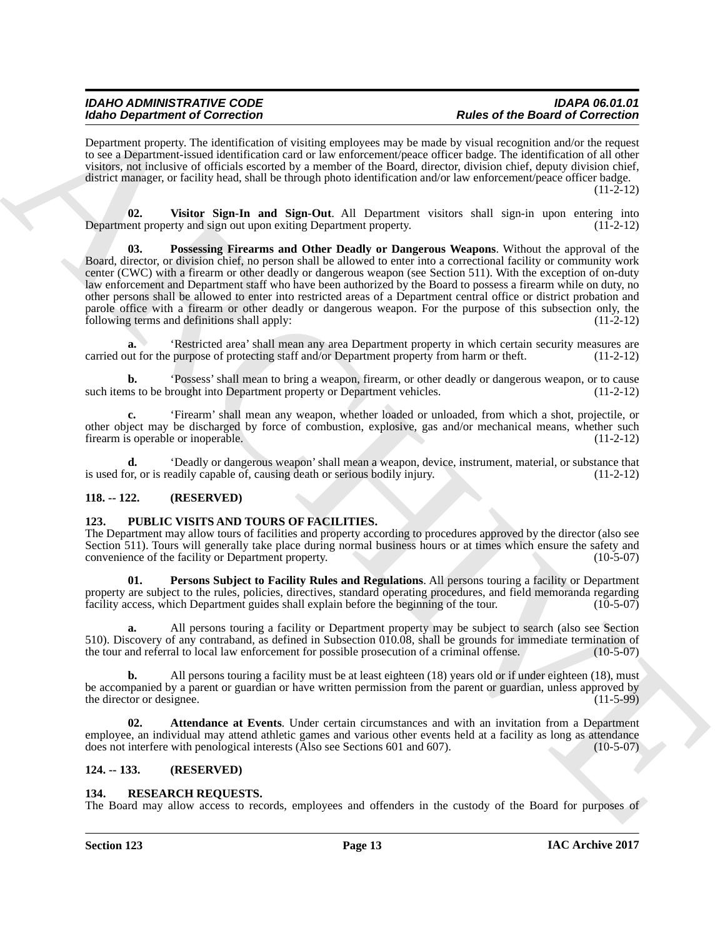Department property. The identification of visiting employees may be made by visual recognition and/or the request to see a Department-issued identification card or law enforcement/peace officer badge. The identification of all other visitors, not inclusive of officials escorted by a member of the Board, director, division chief, deputy division chief, district manager, or facility head, shall be through photo identification and/or law enforcement/peace officer badge.  $(11-2-12)$ 

<span id="page-12-5"></span><span id="page-12-4"></span>**02. Visitor Sign-In and Sign-Out**. All Department visitors shall sign-in upon entering into Department property and sign out upon exiting Department property. (11-2-12)

Mode Department of Concellent that may relate the based of Concellent Concellent Concellent Concellent Concellent Concellent Concellent Concellent Concellent Concellent Concellent Concellent Concellent Concellent Concelle **03. Possessing Firearms and Other Deadly or Dangerous Weapons**. Without the approval of the Board, director, or division chief, no person shall be allowed to enter into a correctional facility or community work center (CWC) with a firearm or other deadly or dangerous weapon (see Section 511). With the exception of on-duty law enforcement and Department staff who have been authorized by the Board to possess a firearm while on duty, no other persons shall be allowed to enter into restricted areas of a Department central office or district probation and parole office with a firearm or other deadly or dangerous weapon. For the purpose of this subsection only, the following terms and definitions shall apply: (11-2-12)

**a.** 'Restricted area' shall mean any area Department property in which certain security measures are carried out for the purpose of protecting staff and/or Department property from harm or theft. (11-2-12)

**b.** 'Possess' shall mean to bring a weapon, firearm, or other deadly or dangerous weapon, or to cause ns to be brought into Department property or Department vehicles. (11-2-12) such items to be brought into Department property or Department vehicles.

**c.** 'Firearm' shall mean any weapon, whether loaded or unloaded, from which a shot, projectile, or other object may be discharged by force of combustion, explosive, gas and/or mechanical means, whether such firearm is operable or inoperable. (11-2-12)

**d.** 'Deadly or dangerous weapon' shall mean a weapon, device, instrument, material, or substance that or, or is readily capable of, causing death or serious bodily injury.  $(11-2-12)$ is used for, or is readily capable of, causing death or serious bodily injury.

### <span id="page-12-0"></span>**118. -- 122. (RESERVED)**

### <span id="page-12-6"></span><span id="page-12-1"></span>**123. PUBLIC VISITS AND TOURS OF FACILITIES.**

The Department may allow tours of facilities and property according to procedures approved by the director (also see Section 511). Tours will generally take place during normal business hours or at times which ensure the safety and convenience of the facility or Department property. (10-5-07) convenience of the facility or Department property.

<span id="page-12-8"></span>**01. Persons Subject to Facility Rules and Regulations**. All persons touring a facility or Department property are subject to the rules, policies, directives, standard operating procedures, and field memoranda regarding<br>facility access, which Department guides shall explain before the beginning of the tour. (10-5-07) facility access, which Department guides shall explain before the beginning of the tour.

**a.** All persons touring a facility or Department property may be subject to search (also see Section 510). Discovery of any contraband, as defined in Subsection 010.08, shall be grounds for immediate termination of the tour and referral to local law enforcement for possible prosecution of a criminal offense. (10-5-07) the tour and referral to local law enforcement for possible prosecution of a criminal offense.

**b.** All persons touring a facility must be at least eighteen (18) years old or if under eighteen (18), must be accompanied by a parent or guardian or have written permission from the parent or guardian, unless approved by the director or designee. (11-5-99)

<span id="page-12-7"></span>**02. Attendance at Events**. Under certain circumstances and with an invitation from a Department employee, an individual may attend athletic games and various other events held at a facility as long as attendance does not interfere with penological interests (Also see Sections 601 and 607). (10-5-07)

### <span id="page-12-2"></span>**124. -- 133. (RESERVED)**

### <span id="page-12-9"></span><span id="page-12-3"></span>**134. RESEARCH REQUESTS.**

The Board may allow access to records, employees and offenders in the custody of the Board for purposes of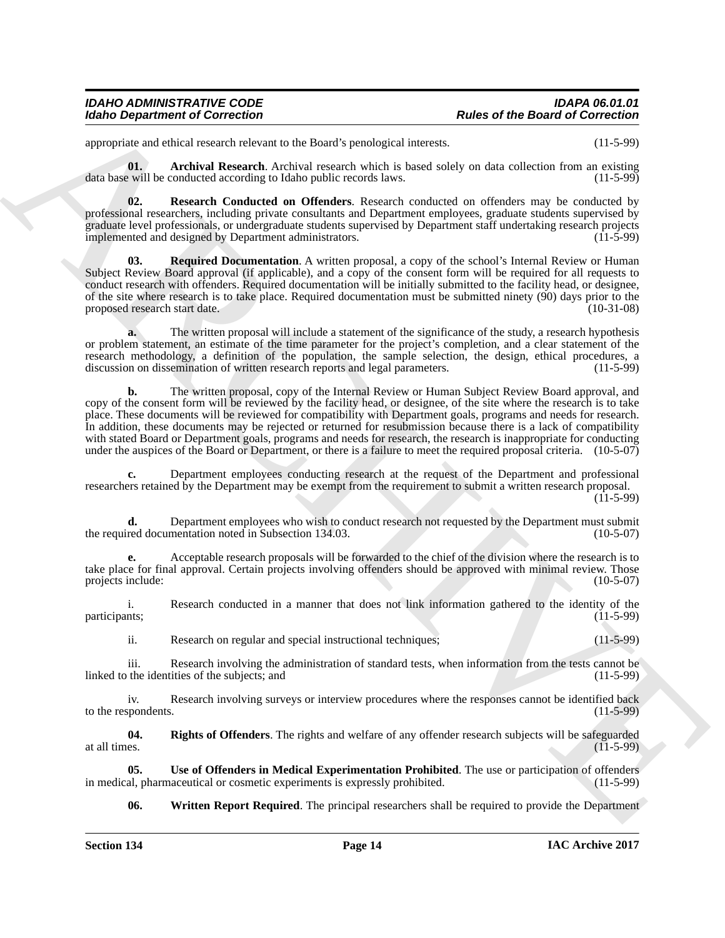appropriate and ethical research relevant to the Board's penological interests. (11-5-99)

<span id="page-13-0"></span>**01. Archival Research**. Archival research which is based solely on data collection from an existing evill be conducted according to Idaho public records laws. (11-5-99) data base will be conducted according to Idaho public records laws.

<span id="page-13-2"></span>**02. Research Conducted on Offenders**. Research conducted on offenders may be conducted by professional researchers, including private consultants and Department employees, graduate students supervised by graduate level professionals, or undergraduate students supervised by Department staff undertaking research projects implemented and designed by Department administrators.

<span id="page-13-1"></span>**03. Required Documentation**. A written proposal, a copy of the school's Internal Review or Human Subject Review Board approval (if applicable), and a copy of the consent form will be required for all requests to conduct research with offenders. Required documentation will be initially submitted to the facility head, or designee, of the site where research is to take place. Required documentation must be submitted ninety (90) days prior to the proposed research start date. (10-31-08)

**a.** The written proposal will include a statement of the significance of the study, a research hypothesis or problem statement, an estimate of the time parameter for the project's completion, and a clear statement of the research methodology, a definition of the population, the sample selection, the design, ethical procedures, a discussion on dissemination of written research reports and legal parameters. (11-5-99) discussion on dissemination of written research reports and legal parameters.

Moreo Department of Correction<br>
applies to the Bostol of Correction<br>
applies to the Bostol of Correction<br>
applies to the distribution of the Bostol of the Bostol procedure in the state of the Bostol of Correction<br>
and the **b.** The written proposal, copy of the Internal Review or Human Subject Review Board approval, and copy of the consent form will be reviewed by the facility head, or designee, of the site where the research is to take place. These documents will be reviewed for compatibility with Department goals, programs and needs for research. In addition, these documents may be rejected or returned for resubmission because there is a lack of compatibility with stated Board or Department goals, programs and needs for research, the research is inappropriate for conducting under the auspices of the Board or Department, or there is a failure to meet the required proposal criteria. (10-5-07)

**c.** Department employees conducting research at the request of the Department and professional researchers retained by the Department may be exempt from the requirement to submit a written research proposal.  $(11-5-99)$ 

**d.** Department employees who wish to conduct research not requested by the Department must submit the required documentation noted in Subsection 134.03. (10-5-07)

**e.** Acceptable research proposals will be forwarded to the chief of the division where the research is to take place for final approval. Certain projects involving offenders should be approved with minimal review. Those projects include: (10-5-07)

i. Research conducted in a manner that does not link information gathered to the identity of the thes: participants; (11-5-99)

ii. Research on regular and special instructional techniques; (11-5-99)

iii. Research involving the administration of standard tests, when information from the tests cannot be the identities of the subjects; and (11-5-99) linked to the identities of the subjects; and

iv. Research involving surveys or interview procedures where the responses cannot be identified back<br>(11-5-99) to the respondents.

<span id="page-13-3"></span>**04. Rights of Offenders**. The rights and welfare of any offender research subjects will be safeguarded at all times. (11-5-99)

**05.** Use of Offenders in Medical Experimentation Prohibited. The use or participation of offenders al, pharmaceutical or cosmetic experiments is expressly prohibited. (11-5-99) in medical, pharmaceutical or cosmetic experiments is expressly prohibited.

<span id="page-13-5"></span><span id="page-13-4"></span>**06.** Written Report Required. The principal researchers shall be required to provide the Department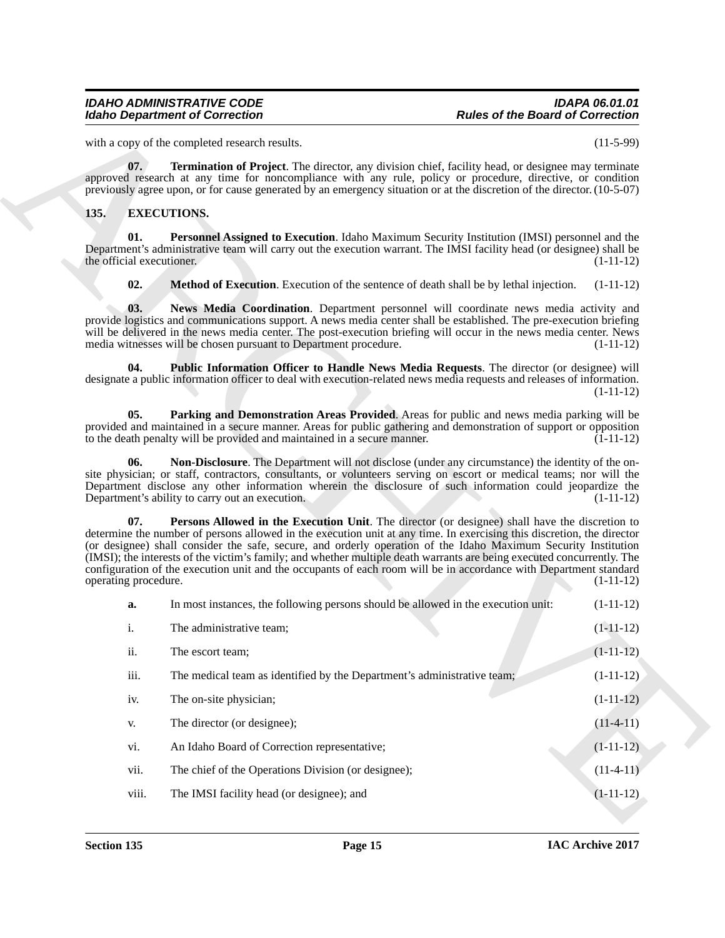### <span id="page-14-9"></span><span id="page-14-8"></span><span id="page-14-7"></span><span id="page-14-6"></span><span id="page-14-5"></span><span id="page-14-4"></span><span id="page-14-3"></span><span id="page-14-2"></span><span id="page-14-1"></span><span id="page-14-0"></span>**135. EXECUTIONS.**

|                                  | <b>Idaho Department of Correction</b>                                                                                                                                                                                                                                                                                                                                                                                                                                                                                                                                                     | <b>Rules of the Board of Correction</b> |  |
|----------------------------------|-------------------------------------------------------------------------------------------------------------------------------------------------------------------------------------------------------------------------------------------------------------------------------------------------------------------------------------------------------------------------------------------------------------------------------------------------------------------------------------------------------------------------------------------------------------------------------------------|-----------------------------------------|--|
|                                  | with a copy of the completed research results.                                                                                                                                                                                                                                                                                                                                                                                                                                                                                                                                            | $(11-5-99)$                             |  |
| 07.                              | Termination of Project. The director, any division chief, facility head, or designee may terminate<br>approved research at any time for noncompliance with any rule, policy or procedure, directive, or condition<br>previously agree upon, or for cause generated by an emergency situation or at the discretion of the director. (10-5-07)                                                                                                                                                                                                                                              |                                         |  |
| 135.                             | <b>EXECUTIONS.</b>                                                                                                                                                                                                                                                                                                                                                                                                                                                                                                                                                                        |                                         |  |
| 01.<br>the official executioner. | Personnel Assigned to Execution. Idaho Maximum Security Institution (IMSI) personnel and the<br>Department's administrative team will carry out the execution warrant. The IMSI facility head (or designee) shall be                                                                                                                                                                                                                                                                                                                                                                      | $(1-11-12)$                             |  |
| 02.                              | <b>Method of Execution.</b> Execution of the sentence of death shall be by lethal injection.                                                                                                                                                                                                                                                                                                                                                                                                                                                                                              | $(1-11-12)$                             |  |
| 03.                              | News Media Coordination. Department personnel will coordinate news media activity and<br>provide logistics and communications support. A news media center shall be established. The pre-execution briefing<br>will be delivered in the news media center. The post-execution briefing will occur in the news media center. News<br>media witnesses will be chosen pursuant to Department procedure.                                                                                                                                                                                      | $(1-11-12)$                             |  |
| 04.                              | Public Information Officer to Handle News Media Requests. The director (or designee) will<br>designate a public information officer to deal with execution-related news media requests and releases of information.                                                                                                                                                                                                                                                                                                                                                                       | $(1-11-12)$                             |  |
| 05.                              | Parking and Demonstration Areas Provided. Areas for public and news media parking will be<br>provided and maintained in a secure manner. Areas for public gathering and demonstration of support or opposition<br>to the death penalty will be provided and maintained in a secure manner.                                                                                                                                                                                                                                                                                                | $(1-11-12)$                             |  |
| 06.                              | Non-Disclosure. The Department will not disclose (under any circumstance) the identity of the on-<br>site physician; or staff, contractors, consultants, or volunteers serving on escort or medical teams; nor will the<br>Department disclose any other information wherein the disclosure of such information could jeopardize the<br>Department's ability to carry out an execution.                                                                                                                                                                                                   | $(1-11-12)$                             |  |
| 07.<br>operating procedure.      | Persons Allowed in the Execution Unit. The director (or designee) shall have the discretion to<br>determine the number of persons allowed in the execution unit at any time. In exercising this discretion, the director<br>(or designee) shall consider the safe, secure, and orderly operation of the Idaho Maximum Security Institution<br>(IMSI); the interests of the victim's family; and whether multiple death warrants are being executed concurrently. The<br>configuration of the execution unit and the occupants of each room will be in accordance with Department standard | $(1-11-12)$                             |  |
| a.                               | In most instances, the following persons should be allowed in the execution unit:                                                                                                                                                                                                                                                                                                                                                                                                                                                                                                         | $(1-11-12)$                             |  |
| i.                               | The administrative team;                                                                                                                                                                                                                                                                                                                                                                                                                                                                                                                                                                  | $(1-11-12)$                             |  |
| ii.                              | The escort team;                                                                                                                                                                                                                                                                                                                                                                                                                                                                                                                                                                          | $(1-11-12)$                             |  |
| iii.                             | The medical team as identified by the Department's administrative team;                                                                                                                                                                                                                                                                                                                                                                                                                                                                                                                   | $(1-11-12)$                             |  |
| iv.                              | The on-site physician;                                                                                                                                                                                                                                                                                                                                                                                                                                                                                                                                                                    | $(1-11-12)$                             |  |
| V.                               | The director (or designee);                                                                                                                                                                                                                                                                                                                                                                                                                                                                                                                                                               | $(11-4-11)$                             |  |
|                                  | An Idaho Board of Correction representative;                                                                                                                                                                                                                                                                                                                                                                                                                                                                                                                                              | $(1-11-12)$                             |  |
| vi.                              |                                                                                                                                                                                                                                                                                                                                                                                                                                                                                                                                                                                           |                                         |  |
| vii.                             | The chief of the Operations Division (or designee);                                                                                                                                                                                                                                                                                                                                                                                                                                                                                                                                       | $(11-4-11)$                             |  |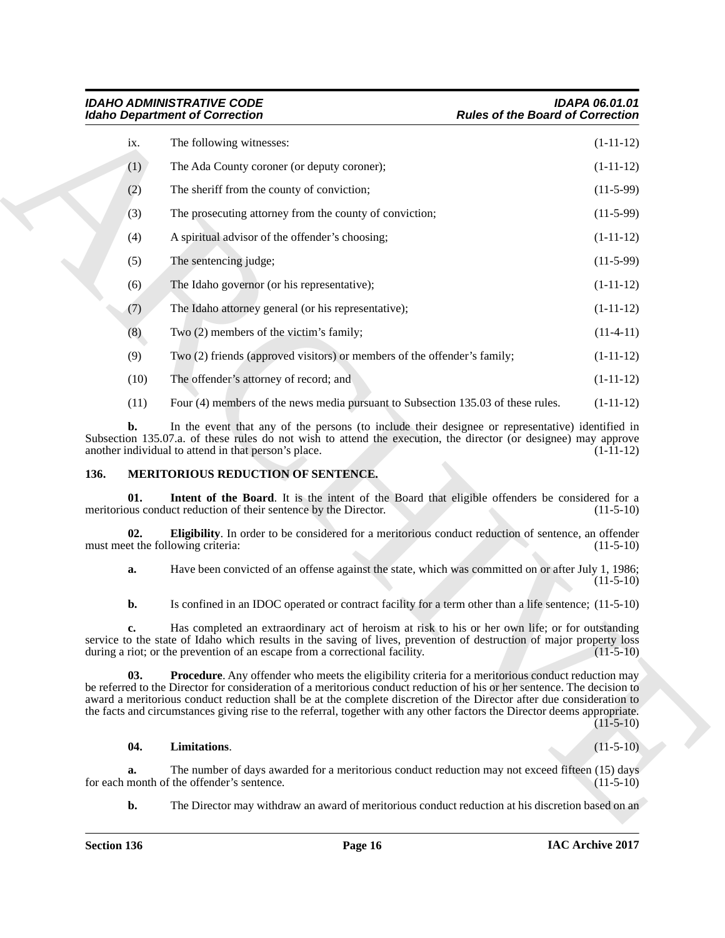|      | <b>Idaho Department of Correction</b>                                       |                                                                                                                                                                                                                                                                                                                                                                                                                                                                                           | <b>Rules of the Board of Correction</b>                                 |  |
|------|-----------------------------------------------------------------------------|-------------------------------------------------------------------------------------------------------------------------------------------------------------------------------------------------------------------------------------------------------------------------------------------------------------------------------------------------------------------------------------------------------------------------------------------------------------------------------------------|-------------------------------------------------------------------------|--|
| ix.  | The following witnesses:                                                    |                                                                                                                                                                                                                                                                                                                                                                                                                                                                                           | $(1-11-12)$                                                             |  |
| (1)  | The Ada County coroner (or deputy coroner);                                 |                                                                                                                                                                                                                                                                                                                                                                                                                                                                                           | $(1-11-12)$                                                             |  |
| (2)  | The sheriff from the county of conviction;                                  |                                                                                                                                                                                                                                                                                                                                                                                                                                                                                           | $(11-5-99)$                                                             |  |
| (3)  | The prosecuting attorney from the county of conviction;                     |                                                                                                                                                                                                                                                                                                                                                                                                                                                                                           | $(11-5-99)$                                                             |  |
| (4)  | A spiritual advisor of the offender's choosing;                             |                                                                                                                                                                                                                                                                                                                                                                                                                                                                                           | $(1-11-12)$                                                             |  |
| (5)  | The sentencing judge;                                                       |                                                                                                                                                                                                                                                                                                                                                                                                                                                                                           | $(11-5-99)$                                                             |  |
| (6)  | The Idaho governor (or his representative);                                 |                                                                                                                                                                                                                                                                                                                                                                                                                                                                                           | $(1-11-12)$                                                             |  |
| (7)  | The Idaho attorney general (or his representative);                         |                                                                                                                                                                                                                                                                                                                                                                                                                                                                                           | $(1-11-12)$                                                             |  |
| (8)  | Two (2) members of the victim's family;                                     |                                                                                                                                                                                                                                                                                                                                                                                                                                                                                           | $(11-4-11)$                                                             |  |
| (9)  |                                                                             | Two (2) friends (approved visitors) or members of the offender's family;                                                                                                                                                                                                                                                                                                                                                                                                                  | $(1-11-12)$                                                             |  |
| (10) | The offender's attorney of record; and                                      |                                                                                                                                                                                                                                                                                                                                                                                                                                                                                           | $(1-11-12)$                                                             |  |
| (11) |                                                                             | Four (4) members of the news media pursuant to Subsection 135.03 of these rules.                                                                                                                                                                                                                                                                                                                                                                                                          | $(1-11-12)$                                                             |  |
| b.   | another individual to attend in that person's place.                        | In the event that any of the persons (to include their designee or representative) identified in<br>Subsection 135.07.a. of these rules do not wish to attend the execution, the director (or designee) may approve                                                                                                                                                                                                                                                                       | $(1-11-12)$                                                             |  |
| 136. | <b>MERITORIOUS REDUCTION OF SENTENCE.</b>                                   |                                                                                                                                                                                                                                                                                                                                                                                                                                                                                           |                                                                         |  |
|      |                                                                             |                                                                                                                                                                                                                                                                                                                                                                                                                                                                                           |                                                                         |  |
| 01.  | meritorious conduct reduction of their sentence by the Director.            | Intent of the Board. It is the intent of the Board that eligible offenders be considered for a                                                                                                                                                                                                                                                                                                                                                                                            |                                                                         |  |
| 02.  | must meet the following criteria:                                           | Eligibility. In order to be considered for a meritorious conduct reduction of sentence, an offender                                                                                                                                                                                                                                                                                                                                                                                       |                                                                         |  |
| a.   |                                                                             | Have been convicted of an offense against the state, which was committed on or after July 1, 1986;                                                                                                                                                                                                                                                                                                                                                                                        |                                                                         |  |
| b.   |                                                                             | Is confined in an IDOC operated or contract facility for a term other than a life sentence; (11-5-10)                                                                                                                                                                                                                                                                                                                                                                                     |                                                                         |  |
| c.   | during a riot; or the prevention of an escape from a correctional facility. | Has completed an extraordinary act of heroism at risk to his or her own life; or for outstanding<br>service to the state of Idaho which results in the saving of lives, prevention of destruction of major property loss                                                                                                                                                                                                                                                                  |                                                                         |  |
| 03.  |                                                                             | <b>Procedure.</b> Any offender who meets the eligibility criteria for a meritorious conduct reduction may<br>be referred to the Director for consideration of a meritorious conduct reduction of his or her sentence. The decision to<br>award a meritorious conduct reduction shall be at the complete discretion of the Director after due consideration to<br>the facts and circumstances giving rise to the referral, together with any other factors the Director deems appropriate. | $(11-5-10)$<br>$(11-5-10)$<br>$(11-5-10)$<br>$(11-5-10)$<br>$(11-5-10)$ |  |
| 04.  | Limitations.                                                                |                                                                                                                                                                                                                                                                                                                                                                                                                                                                                           |                                                                         |  |
| a.   | for each month of the offender's sentence.                                  | The number of days awarded for a meritorious conduct reduction may not exceed fifteen (15) days                                                                                                                                                                                                                                                                                                                                                                                           | $(11-5-10)$<br>$(11-5-10)$                                              |  |

### <span id="page-15-3"></span><span id="page-15-2"></span><span id="page-15-1"></span><span id="page-15-0"></span>**136. MERITORIOUS REDUCTION OF SENTENCE.**

### <span id="page-15-5"></span><span id="page-15-4"></span>**04. Limitations**. (11-5-10)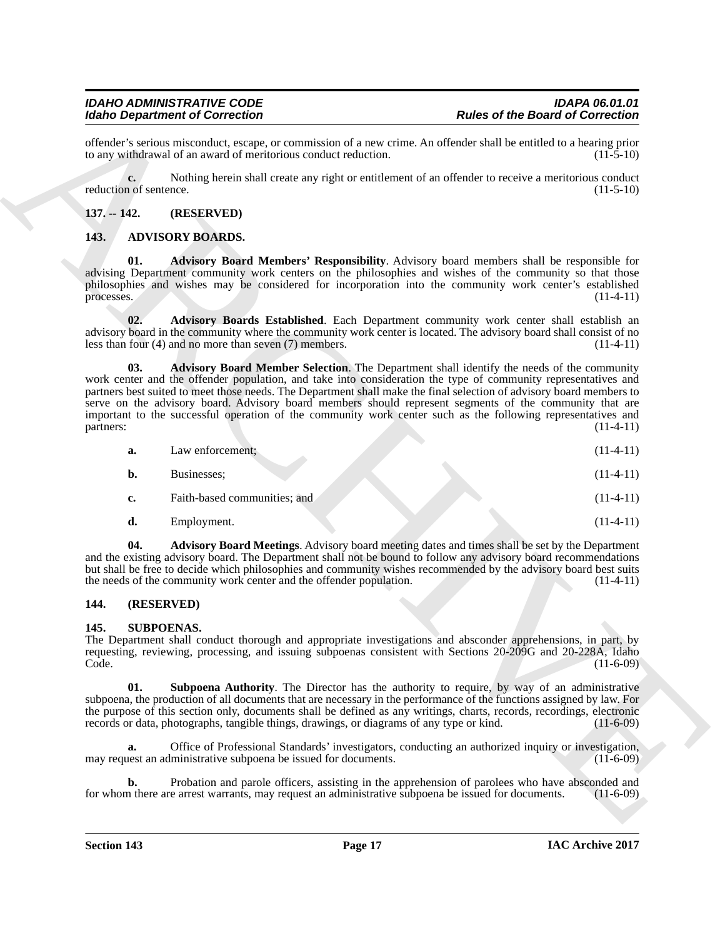offender's serious misconduct, escape, or commission of a new crime. An offender shall be entitled to a hearing prior<br>to any withdrawal of an award of meritorious conduct reduction. (11-5-10) to any withdrawal of an award of meritorious conduct reduction.

**c.** Nothing herein shall create any right or entitlement of an offender to receive a meritorious conduct reduction of sentence.  $(11-5-10)$ 

### <span id="page-16-0"></span>**137. -- 142. (RESERVED)**

### <span id="page-16-7"></span><span id="page-16-4"></span><span id="page-16-1"></span>**143. ADVISORY BOARDS.**

**01. Advisory Board Members' Responsibility**. Advisory board members shall be responsible for advising Department community work centers on the philosophies and wishes of the community so that those philosophies and wishes may be considered for incorporation into the community work center's established processes. (11-4-11)

<span id="page-16-8"></span><span id="page-16-6"></span>**02. Advisory Boards Established**. Each Department community work center shall establish an advisory board in the community where the community work center is located. The advisory board shall consist of no<br>less than four (4) and no more than seven (7) members. less than four  $(4)$  and no more than seven  $(7)$  members.

For the Dealer of the Dealer of the Board of Correction<br>
direction and other action and correction and correction and correction and the statistical statistical statistical<br>  $\mu_{\text{eff}}$  and  $\mu_{\text{eff}}$  and  $\mu_{\text{eff}}$  and  $\$ **03. Advisory Board Member Selection**. The Department shall identify the needs of the community work center and the offender population, and take into consideration the type of community representatives and partners best suited to meet those needs. The Department shall make the final selection of advisory board members to serve on the advisory board. Advisory board members should represent segments of the community that are important to the successful operation of the community work center such as the following representatives and partners: (11-4-11) (2002) (2003) (2003) (2004) (2004) (2004) (2004) (2004) (2004) (2004) (2004) (2004) (2004) (2004) (2004) (2004) (2004) (2004) (2004) (2004) (2004) (2004) (2004) (2004) (2004) (2004) (2004) (2004) (2004)

| а.        | Law enforcement: |  | $(11-4-11)$ |
|-----------|------------------|--|-------------|
| <b>b.</b> | Businesses:      |  | $(11-4-11)$ |

- **c.** Faith-based communities; and (11-4-11)
- <span id="page-16-5"></span>**d.** Employment. (11-4-11)

**04. Advisory Board Meetings**. Advisory board meeting dates and times shall be set by the Department and the existing advisory board. The Department shall not be bound to follow any advisory board recommendations but shall be free to decide which philosophies and community wishes recommended by the advisory board best suits the needs of the community work center and the offender population. (11-4-11)

### <span id="page-16-2"></span>**144. (RESERVED)**

### <span id="page-16-9"></span><span id="page-16-3"></span>**145. SUBPOENAS.**

The Department shall conduct thorough and appropriate investigations and absconder apprehensions, in part, by requesting, reviewing, processing, and issuing subpoenas consistent with Sections 20-209G and 20-228A, Idaho Code. (11-6-09) Code. (11-6-09)

<span id="page-16-10"></span>**01. Subpoena Authority**. The Director has the authority to require, by way of an administrative subpoena, the production of all documents that are necessary in the performance of the functions assigned by law. For the purpose of this section only, documents shall be defined as any writings, charts, records, recordings, electronic records or data, photographs, tangible things, drawings, or diagrams of any type or kind. (11-6-09) records or data, photographs, tangible things, drawings, or diagrams of any type or kind.

**a.** Office of Professional Standards' investigators, conducting an authorized inquiry or investigation, may request an administrative subpoena be issued for documents. (11-6-09)

**b.** Probation and parole officers, assisting in the apprehension of parolees who have absconded and network in the apprehension of paroles who have absconded and network of the area are arrest warrants, may request an adm for whom there are arrest warrants, may request an administrative subpoena be issued for documents.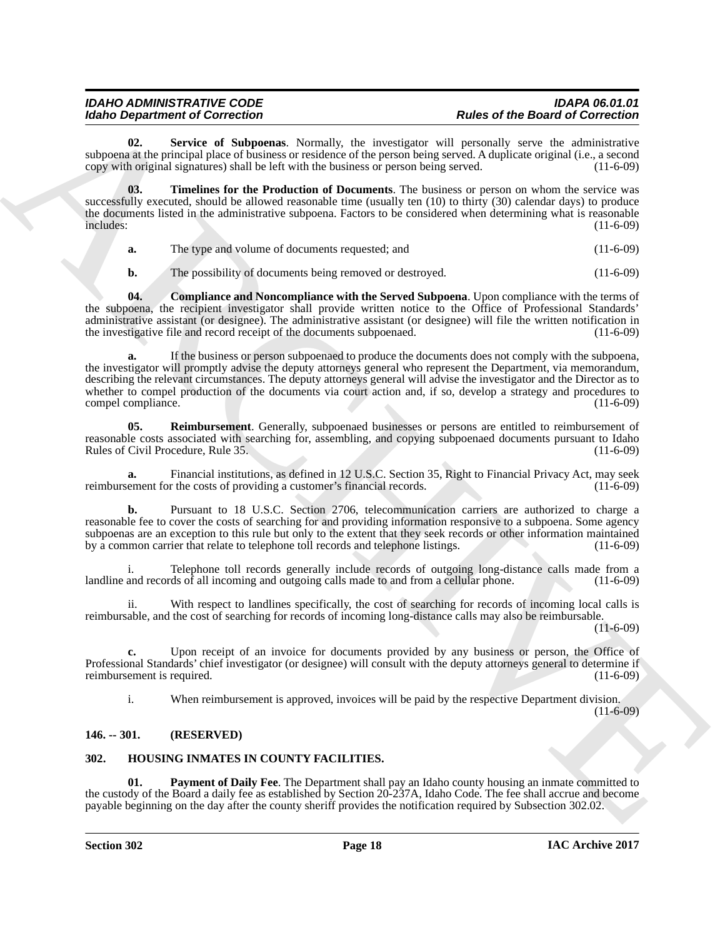<span id="page-17-6"></span>Service of Subpoenas. Normally, the investigator will personally serve the administrative subpoena at the principal place of business or residence of the person being served. A duplicate original (i.e., a second copy with original signatures) shall be left with the business or person being served. (11-6-09) copy with original signatures) shall be left with the business or person being served.

**03. Timelines for the Production of Documents**. The business or person on whom the service was successfully executed, should be allowed reasonable time (usually ten (10) to thirty (30) calendar days) to produce the documents listed in the administrative subpoena. Factors to be considered when determining what is reasonable<br>includes: (11-6-09) includes: (11-6-09)

<span id="page-17-7"></span>**a.** The type and volume of documents requested; and (11-6-09)

<span id="page-17-4"></span>**b.** The possibility of documents being removed or destroyed. (11-6-09)

**04. Compliance and Noncompliance with the Served Subpoena**. Upon compliance with the terms of the subpoena, the recipient investigator shall provide written notice to the Office of Professional Standards' administrative assistant (or designee). The administrative assistant (or designee) will file the written notification in the investigative file and record receipt of the documents subpoenaed.  $(11-6-09)$ the investigative file and record receipt of the documents subpoenaed.

Moreo Geographen of George Constraints (i.e. investigate with the standard of George Constraints)<br>
and the principal state of Schematic Action (i.e. investigate with Archives Constraints)<br>
and the principal state of Schem **a.** If the business or person subpoenaed to produce the documents does not comply with the subpoena, the investigator will promptly advise the deputy attorneys general who represent the Department, via memorandum, describing the relevant circumstances. The deputy attorneys general will advise the investigator and the Director as to whether to compel production of the documents via court action and, if so, develop a strategy and procedures to compel compliance. (11-6-09) compel compliance.

<span id="page-17-5"></span>**05. Reimbursement**. Generally, subpoenaed businesses or persons are entitled to reimbursement of reasonable costs associated with searching for, assembling, and copying subpoenaed documents pursuant to Idaho<br>Rules of Civil Procedure, Rule 35. (11-6-09) Rules of Civil Procedure, Rule 35.

**a.** Financial institutions, as defined in 12 U.S.C. Section 35, Right to Financial Privacy Act, may seek ement for the costs of providing a customer's financial records. (11-6-09) reimbursement for the costs of providing a customer's financial records.

**b.** Pursuant to 18 U.S.C. Section 2706, telecommunication carriers are authorized to charge a reasonable fee to cover the costs of searching for and providing information responsive to a subpoena. Some agency subpoenas are an exception to this rule but only to the extent that they seek records or other information maintained<br>by a common carrier that relate to telephone toll records and telephone listings. (11-6-09) by a common carrier that relate to telephone toll records and telephone listings.

i. Telephone toll records generally include records of outgoing long-distance calls made from a landline and records of all incoming and outgoing calls made to and from a cellular phone. (11-6-09)

ii. With respect to landlines specifically, the cost of searching for records of incoming local calls is reimbursable, and the cost of searching for records of incoming long-distance calls may also be reimbursable.

 $(11-6-09)$ 

**c.** Upon receipt of an invoice for documents provided by any business or person, the Office of Professional Standards' chief investigator (or designee) will consult with the deputy attorneys general to determine if reimbursement is required.

<span id="page-17-3"></span>i. When reimbursement is approved, invoices will be paid by the respective Department division.

#### $(11-6-09)$

### <span id="page-17-0"></span>**146. -- 301. (RESERVED)**

### <span id="page-17-2"></span><span id="page-17-1"></span>**302. HOUSING INMATES IN COUNTY FACILITIES.**

**01. Payment of Daily Fee**. The Department shall pay an Idaho county housing an inmate committed to the custody of the Board a daily fee as established by Section 20-237A, Idaho Code. The fee shall accrue and become payable beginning on the day after the county sheriff provides the notification required by Subsection 302.02.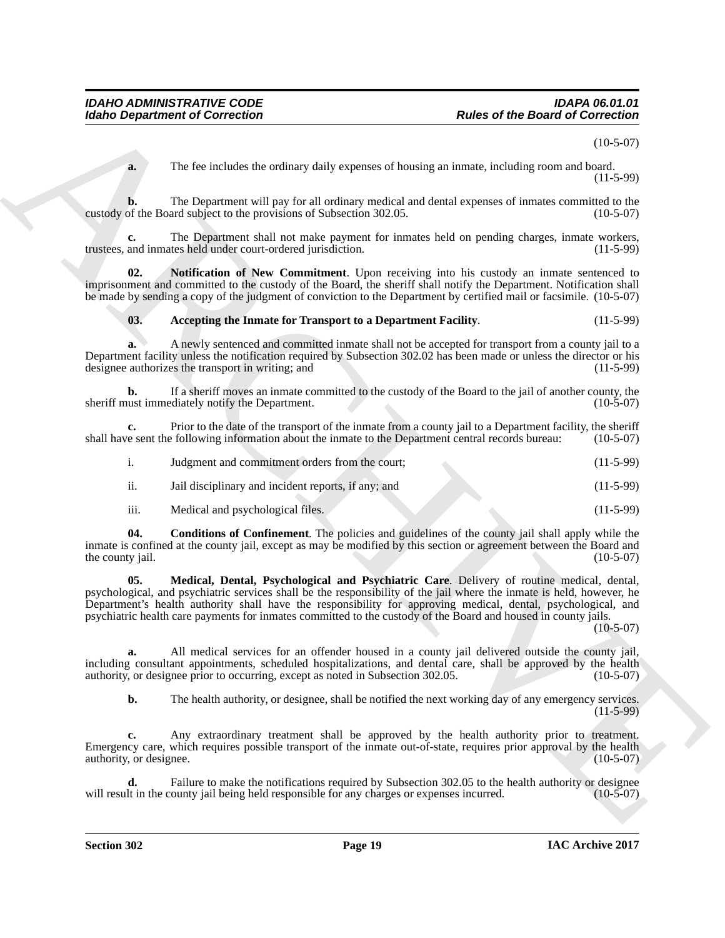### <span id="page-18-3"></span><span id="page-18-2"></span><span id="page-18-1"></span><span id="page-18-0"></span>**03. Accepting the Inmate for Transport to a Department Facility**. (11-5-99)

| The fee includes the ordinary daily expenses of housing an inmate, including room and board.<br>a.<br>custody of the Board subject to the provisions of Subsection 302.05.<br>c.<br>trustees, and inmates held under court-ordered jurisdiction.<br>02.<br>imprisonment and committed to the custody of the Board, the sheriff shall notify the Department. Notification shall<br>be made by sending a copy of the judgment of conviction to the Department by certified mail or facsimile. (10-5-07)<br>Accepting the Inmate for Transport to a Department Facility.<br>03.<br>а.<br>Department facility unless the notification required by Subsection 302.02 has been made or unless the director or his<br>designee authorizes the transport in writing; and<br>b.<br>sheriff must immediately notify the Department.<br>c.<br>shall have sent the following information about the inmate to the Department central records bureau:<br>i.<br>Judgment and commitment orders from the court;<br>$\ddot{\mathbf{11}}$ .<br>Jail disciplinary and incident reports, if any; and<br>iii.<br>Medical and psychological files.<br>04.<br>inmate is confined at the county jail, except as may be modified by this section or agreement between the Board and<br>the county jail.<br>05.<br>psychological, and psychiatric services shall be the responsibility of the jail where the inmate is held, however, he<br>Department's health authority shall have the responsibility for approving medical, dental, psychological, and<br>psychiatric health care payments for inmates committed to the custody of the Board and housed in county jails.<br>a.<br>including consultant appointments, scheduled hospitalizations, and dental care, shall be approved by the health<br>authority, or designee prior to occurring, except as noted in Subsection 302.05.<br>b.<br>c.<br>Emergency care, which requires possible transport of the inmate out-of-state, requires prior approval by the health<br>authority, or designee. | <b>Rules of the Board of Correction</b><br><b>Idaho Department of Correction</b>                                         |
|------------------------------------------------------------------------------------------------------------------------------------------------------------------------------------------------------------------------------------------------------------------------------------------------------------------------------------------------------------------------------------------------------------------------------------------------------------------------------------------------------------------------------------------------------------------------------------------------------------------------------------------------------------------------------------------------------------------------------------------------------------------------------------------------------------------------------------------------------------------------------------------------------------------------------------------------------------------------------------------------------------------------------------------------------------------------------------------------------------------------------------------------------------------------------------------------------------------------------------------------------------------------------------------------------------------------------------------------------------------------------------------------------------------------------------------------------------------------------------------------------------------------------------------------------------------------------------------------------------------------------------------------------------------------------------------------------------------------------------------------------------------------------------------------------------------------------------------------------------------------------------------------------------------------------------------------------------------------------------------------------------------------------|--------------------------------------------------------------------------------------------------------------------------|
|                                                                                                                                                                                                                                                                                                                                                                                                                                                                                                                                                                                                                                                                                                                                                                                                                                                                                                                                                                                                                                                                                                                                                                                                                                                                                                                                                                                                                                                                                                                                                                                                                                                                                                                                                                                                                                                                                                                                                                                                                              | $(10-5-07)$                                                                                                              |
|                                                                                                                                                                                                                                                                                                                                                                                                                                                                                                                                                                                                                                                                                                                                                                                                                                                                                                                                                                                                                                                                                                                                                                                                                                                                                                                                                                                                                                                                                                                                                                                                                                                                                                                                                                                                                                                                                                                                                                                                                              | $(11-5-99)$                                                                                                              |
|                                                                                                                                                                                                                                                                                                                                                                                                                                                                                                                                                                                                                                                                                                                                                                                                                                                                                                                                                                                                                                                                                                                                                                                                                                                                                                                                                                                                                                                                                                                                                                                                                                                                                                                                                                                                                                                                                                                                                                                                                              | The Department will pay for all ordinary medical and dental expenses of inmates committed to the<br>$(10-5-07)$          |
|                                                                                                                                                                                                                                                                                                                                                                                                                                                                                                                                                                                                                                                                                                                                                                                                                                                                                                                                                                                                                                                                                                                                                                                                                                                                                                                                                                                                                                                                                                                                                                                                                                                                                                                                                                                                                                                                                                                                                                                                                              | The Department shall not make payment for inmates held on pending charges, inmate workers,<br>$(11-5-99)$                |
|                                                                                                                                                                                                                                                                                                                                                                                                                                                                                                                                                                                                                                                                                                                                                                                                                                                                                                                                                                                                                                                                                                                                                                                                                                                                                                                                                                                                                                                                                                                                                                                                                                                                                                                                                                                                                                                                                                                                                                                                                              | Notification of New Commitment. Upon receiving into his custody an inmate sentenced to                                   |
|                                                                                                                                                                                                                                                                                                                                                                                                                                                                                                                                                                                                                                                                                                                                                                                                                                                                                                                                                                                                                                                                                                                                                                                                                                                                                                                                                                                                                                                                                                                                                                                                                                                                                                                                                                                                                                                                                                                                                                                                                              | $(11-5-99)$                                                                                                              |
|                                                                                                                                                                                                                                                                                                                                                                                                                                                                                                                                                                                                                                                                                                                                                                                                                                                                                                                                                                                                                                                                                                                                                                                                                                                                                                                                                                                                                                                                                                                                                                                                                                                                                                                                                                                                                                                                                                                                                                                                                              | A newly sentenced and committed inmate shall not be accepted for transport from a county jail to a<br>$(11-5-99)$        |
|                                                                                                                                                                                                                                                                                                                                                                                                                                                                                                                                                                                                                                                                                                                                                                                                                                                                                                                                                                                                                                                                                                                                                                                                                                                                                                                                                                                                                                                                                                                                                                                                                                                                                                                                                                                                                                                                                                                                                                                                                              | If a sheriff moves an inmate committed to the custody of the Board to the jail of another county, the<br>$(10-5-07)$     |
|                                                                                                                                                                                                                                                                                                                                                                                                                                                                                                                                                                                                                                                                                                                                                                                                                                                                                                                                                                                                                                                                                                                                                                                                                                                                                                                                                                                                                                                                                                                                                                                                                                                                                                                                                                                                                                                                                                                                                                                                                              | Prior to the date of the transport of the inmate from a county jail to a Department facility, the sheriff<br>$(10-5-07)$ |
|                                                                                                                                                                                                                                                                                                                                                                                                                                                                                                                                                                                                                                                                                                                                                                                                                                                                                                                                                                                                                                                                                                                                                                                                                                                                                                                                                                                                                                                                                                                                                                                                                                                                                                                                                                                                                                                                                                                                                                                                                              | $(11-5-99)$                                                                                                              |
|                                                                                                                                                                                                                                                                                                                                                                                                                                                                                                                                                                                                                                                                                                                                                                                                                                                                                                                                                                                                                                                                                                                                                                                                                                                                                                                                                                                                                                                                                                                                                                                                                                                                                                                                                                                                                                                                                                                                                                                                                              | $(11-5-99)$                                                                                                              |
|                                                                                                                                                                                                                                                                                                                                                                                                                                                                                                                                                                                                                                                                                                                                                                                                                                                                                                                                                                                                                                                                                                                                                                                                                                                                                                                                                                                                                                                                                                                                                                                                                                                                                                                                                                                                                                                                                                                                                                                                                              | $(11-5-99)$                                                                                                              |
|                                                                                                                                                                                                                                                                                                                                                                                                                                                                                                                                                                                                                                                                                                                                                                                                                                                                                                                                                                                                                                                                                                                                                                                                                                                                                                                                                                                                                                                                                                                                                                                                                                                                                                                                                                                                                                                                                                                                                                                                                              | <b>Conditions of Confinement</b> . The policies and guidelines of the county jail shall apply while the<br>$(10-5-07)$   |
|                                                                                                                                                                                                                                                                                                                                                                                                                                                                                                                                                                                                                                                                                                                                                                                                                                                                                                                                                                                                                                                                                                                                                                                                                                                                                                                                                                                                                                                                                                                                                                                                                                                                                                                                                                                                                                                                                                                                                                                                                              | Medical, Dental, Psychological and Psychiatric Care. Delivery of routine medical, dental,<br>$(10-5-07)$                 |
|                                                                                                                                                                                                                                                                                                                                                                                                                                                                                                                                                                                                                                                                                                                                                                                                                                                                                                                                                                                                                                                                                                                                                                                                                                                                                                                                                                                                                                                                                                                                                                                                                                                                                                                                                                                                                                                                                                                                                                                                                              | All medical services for an offender housed in a county jail delivered outside the county jail,<br>$(10-5-07)$           |
|                                                                                                                                                                                                                                                                                                                                                                                                                                                                                                                                                                                                                                                                                                                                                                                                                                                                                                                                                                                                                                                                                                                                                                                                                                                                                                                                                                                                                                                                                                                                                                                                                                                                                                                                                                                                                                                                                                                                                                                                                              | The health authority, or designee, shall be notified the next working day of any emergency services.<br>$(11-5-99)$      |
|                                                                                                                                                                                                                                                                                                                                                                                                                                                                                                                                                                                                                                                                                                                                                                                                                                                                                                                                                                                                                                                                                                                                                                                                                                                                                                                                                                                                                                                                                                                                                                                                                                                                                                                                                                                                                                                                                                                                                                                                                              | Any extraordinary treatment shall be approved by the health authority prior to treatment.<br>$(10-5-07)$                 |
| will result in the county jail being held responsible for any charges or expenses incurred.                                                                                                                                                                                                                                                                                                                                                                                                                                                                                                                                                                                                                                                                                                                                                                                                                                                                                                                                                                                                                                                                                                                                                                                                                                                                                                                                                                                                                                                                                                                                                                                                                                                                                                                                                                                                                                                                                                                                  | Failure to make the notifications required by Subsection 302.05 to the health authority or designee<br>d.<br>$(10-5-07)$ |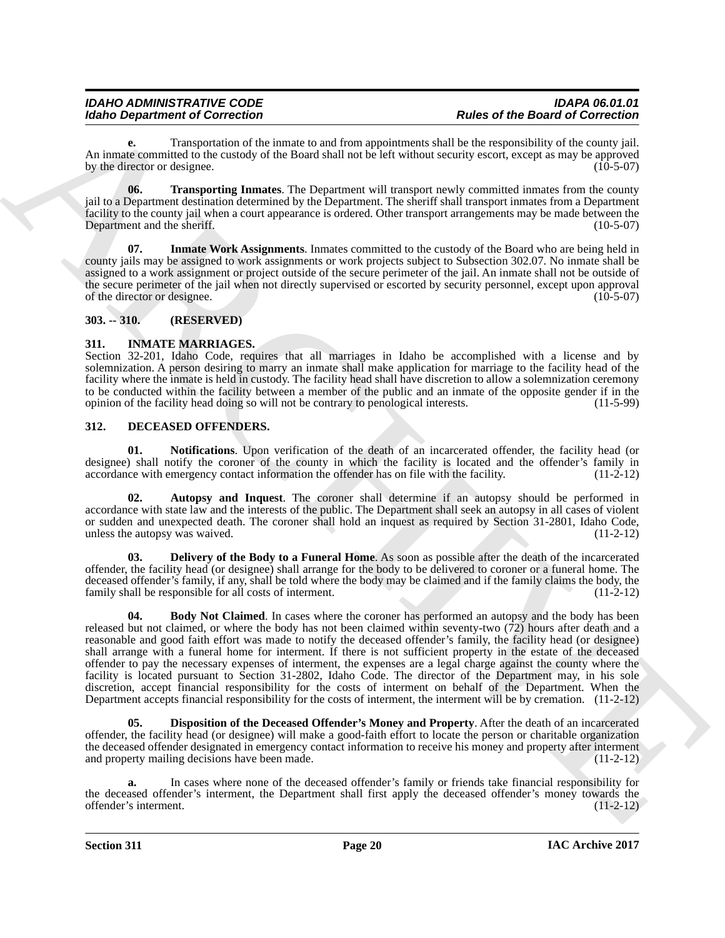**e.** Transportation of the inmate to and from appointments shall be the responsibility of the county jail. An inmate committed to the custody of the Board shall not be left without security escort, except as may be approved<br>by the director or designee. (10-5-07) by the director or designee.

<span id="page-19-10"></span>**06. Transporting Inmates**. The Department will transport newly committed inmates from the county jail to a Department destination determined by the Department. The sheriff shall transport inmates from a Department facility to the county jail when a court appearance is ordered. Other transport arrangements may be made between the Department and the sheriff. (10-5-07)

<span id="page-19-9"></span>**Inmate Work Assignments**. Inmates committed to the custody of the Board who are being held in county jails may be assigned to work assignments or work projects subject to Subsection 302.07. No inmate shall be assigned to a work assignment or project outside of the secure perimeter of the jail. An inmate shall not be outside of the secure perimeter of the jail when not directly supervised or escorted by security personnel, except upon approval of the director or designee. (10-5-07)

### <span id="page-19-0"></span>**303. -- 310. (RESERVED)**

### <span id="page-19-11"></span><span id="page-19-1"></span>**311. INMATE MARRIAGES.**

Section 32-201, Idaho Code, requires that all marriages in Idaho be accomplished with a license and by solemnization. A person desiring to marry an inmate shall make application for marriage to the facility head of the facility where the inmate is held in custody. The facility head shall have discretion to allow a solemnization ceremony to be conducted within the facility between a member of the public and an inmate of the opposite gender if in the opinion of the facility head doing so will not be contrary to penological interests. (11-5-99) opinion of the facility head doing so will not be contrary to penological interests.

### <span id="page-19-3"></span><span id="page-19-2"></span>**312. DECEASED OFFENDERS.**

<span id="page-19-8"></span>**01. Notifications**. Upon verification of the death of an incarcerated offender, the facility head (or designee) shall notify the coroner of the county in which the facility is located and the offender's family in accordance with emergency contact information the offender has on file with the facility. (11-2-12)

<span id="page-19-4"></span>**02. Autopsy and Inquest**. The coroner shall determine if an autopsy should be performed in accordance with state law and the interests of the public. The Department shall seek an autopsy in all cases of violent or sudden and unexpected death. The coroner shall hold an inquest as required by Section 31-2801, Idaho Code, unless the autopsy was waived. (11-2-12)

<span id="page-19-6"></span><span id="page-19-5"></span>**03. Delivery of the Body to a Funeral Home**. As soon as possible after the death of the incarcerated offender, the facility head (or designee) shall arrange for the body to be delivered to coroner or a funeral home. The deceased offender's family, if any, shall be told where the body may be claimed and if the family claims the body, the family shall be responsible for all costs of interment. (11-2-12)

Moreo Department of Concellent the same layer symbol and let us the form of the file of the Concellent of Concellent Concellent Concellent Concellent Concellent Concellent Concellent Concellent Concellent Concellent Conce **04. Body Not Claimed**. In cases where the coroner has performed an autopsy and the body has been released but not claimed, or where the body has not been claimed within seventy-two (72) hours after death and a reasonable and good faith effort was made to notify the deceased offender's family, the facility head (or designee) shall arrange with a funeral home for interment. If there is not sufficient property in the estate of the deceased offender to pay the necessary expenses of interment, the expenses are a legal charge against the county where the facility is located pursuant to Section 31-2802, Idaho Code. The director of the Department may, in his sole discretion, accept financial responsibility for the costs of interment on behalf of the Department. When the Department accepts financial responsibility for the costs of interment, the interment will be by cremation. (11-2-12)

<span id="page-19-7"></span>**05. Disposition of the Deceased Offender's Money and Property**. After the death of an incarcerated offender, the facility head (or designee) will make a good-faith effort to locate the person or charitable organization the deceased offender designated in emergency contact information to receive his money and property after interment and property mailing decisions have been made.  $(11-2-12)$ 

**a.** In cases where none of the deceased offender's family or friends take financial responsibility for the deceased offender's interment, the Department shall first apply the deceased offender's money towards the offender's interment. (11-2-12) offender's interment.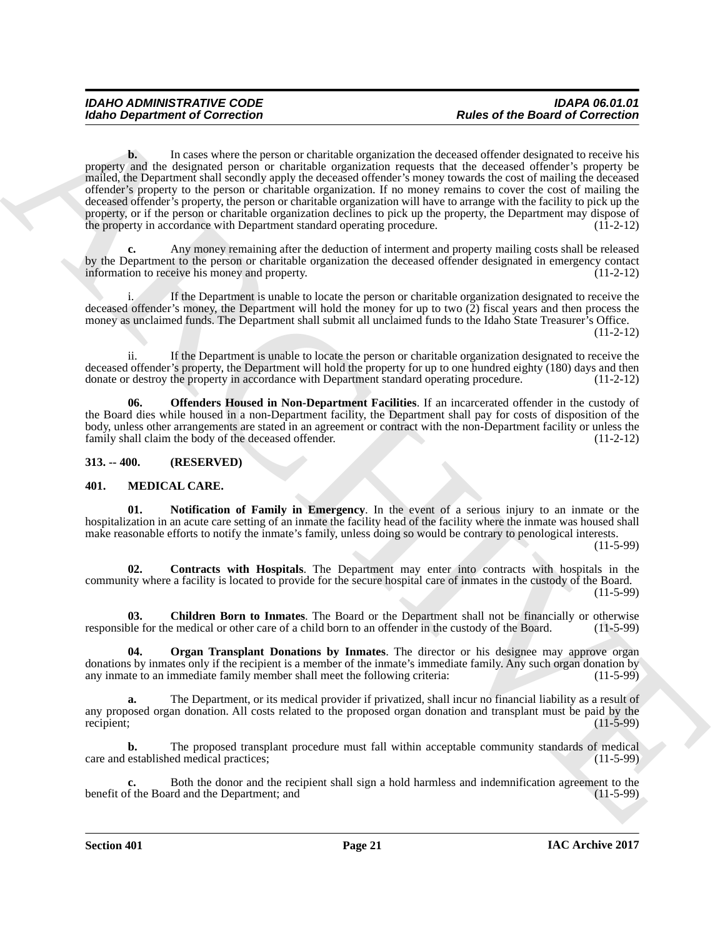Moreo Department of Correction<br>
Units of the Board of Correction<br>
Units of the Board of Correction<br>
property that provide controlled expansion the streament of the distribution in<br>
Figure 2011 and the streament of the str **b.** In cases where the person or charitable organization the deceased offender designated to receive his property and the designated person or charitable organization requests that the deceased offender's property be mailed, the Department shall secondly apply the deceased offender's money towards the cost of mailing the deceased offender's property to the person or charitable organization. If no money remains to cover the cost of mailing the deceased offender's property, the person or charitable organization will have to arrange with the facility to pick up the property, or if the person or charitable organization declines to pick up the property, the Department may dispose of the property in accordance with Department standard operating procedure. (11-2-12)

**c.** Any money remaining after the deduction of interment and property mailing costs shall be released by the Department to the person or charitable organization the deceased offender designated in emergency contact information to receive his money and property. (11-2-12) information to receive his money and property.

If the Department is unable to locate the person or charitable organization designated to receive the deceased offender's money, the Department will hold the money for up to two (2) fiscal years and then process the money as unclaimed funds. The Department shall submit all unclaimed funds to the Idaho State Treasurer's Office. (11-2-12)

ii. If the Department is unable to locate the person or charitable organization designated to receive the deceased offender's property, the Department will hold the property for up to one hundred eighty (180) days and then donate or destroy the property in accordance with Department standard operating procedure. (11-2-12)

<span id="page-20-2"></span>**06. Offenders Housed in Non-Department Facilities**. If an incarcerated offender in the custody of the Board dies while housed in a non-Department facility, the Department shall pay for costs of disposition of the body, unless other arrangements are stated in an agreement or contract with the non-Department facility or unless the family shall claim the body of the deceased offender. (11-2-12) family shall claim the body of the deceased offender.

### <span id="page-20-0"></span>**313. -- 400. (RESERVED)**

### <span id="page-20-3"></span><span id="page-20-1"></span>**401. MEDICAL CARE.**

<span id="page-20-6"></span>**01. Notification of Family in Emergency**. In the event of a serious injury to an inmate or the hospitalization in an acute care setting of an inmate the facility head of the facility where the inmate was housed shall make reasonable efforts to notify the inmate's family, unless doing so would be contrary to penological interests.

(11-5-99)

<span id="page-20-5"></span>**02. Contracts with Hospitals**. The Department may enter into contracts with hospitals in the community where a facility is located to provide for the secure hospital care of inmates in the custody of the Board. (11-5-99)

<span id="page-20-4"></span>**03.** Children Born to Inmates. The Board or the Department shall not be financially or otherwise ble for the medical or other care of a child born to an offender in the custody of the Board. (11-5-99) responsible for the medical or other care of a child born to an offender in the custody of the Board.

<span id="page-20-7"></span>**04. Organ Transplant Donations by Inmates**. The director or his designee may approve organ donations by inmates only if the recipient is a member of the inmate's immediate family. Any such organ donation by<br>any inmate to an immediate family member shall meet the following criteria: (11-5-99) any inmate to an immediate family member shall meet the following criteria:

**a.** The Department, or its medical provider if privatized, shall incur no financial liability as a result of any proposed organ donation. All costs related to the proposed organ donation and transplant must be paid by the recipient; (11-5-99) recipient;  $(11-5-99)$ 

**b.** The proposed transplant procedure must fall within acceptable community standards of medical established medical practices; (11-5-99) care and established medical practices;

**c.** Both the donor and the recipient shall sign a hold harmless and indemnification agreement to the f the Board and the Department; and (11-5-99) benefit of the Board and the Department; and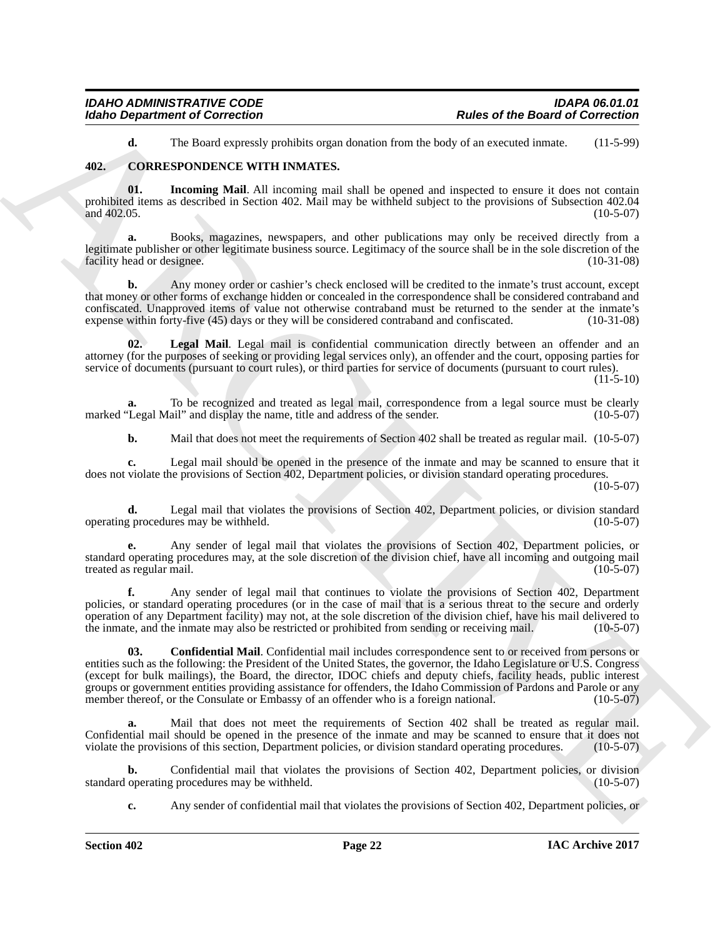<span id="page-21-3"></span><span id="page-21-1"></span>**d.** The Board expressly prohibits organ donation from the body of an executed inmate. (11-5-99)

### <span id="page-21-0"></span>**402. CORRESPONDENCE WITH INMATES.**

**01.** Incoming Mail. All incoming mail shall be opened and inspected to ensure it does not contain prohibited items as described in Section 402. Mail may be withheld subject to the provisions of Subsection 402.04 and  $402.05$ . (10-5-07)

**a.** Books, magazines, newspapers, and other publications may only be received directly from a legitimate publisher or other legitimate business source. Legitimacy of the source shall be in the sole discretion of the facility head or designee. (10-31-08) facility head or designee.

**b.** Any money order or cashier's check enclosed will be credited to the inmate's trust account, except that money or other forms of exchange hidden or concealed in the correspondence shall be considered contraband and confiscated. Unapproved items of value not otherwise contraband must be returned to the sender at the inmate's expense within forty-five (45) days or they will be considered contraband and confiscated. (10-31-08) expense within forty-five (45) days or they will be considered contraband and confiscated.

<span id="page-21-4"></span>**02. Legal Mail**. Legal mail is confidential communication directly between an offender and an attorney (for the purposes of seeking or providing legal services only), an offender and the court, opposing parties for service of documents (pursuant to court rules), or third parties for service of documents (pursuant to court rules).

 $(11-5-10)$ 

**a.** To be recognized and treated as legal mail, correspondence from a legal source must be clearly 'Legal Mail'' and display the name, title and address of the sender. (10-5-07) marked "Legal Mail" and display the name, title and address of the sender.

**b.** Mail that does not meet the requirements of Section 402 shall be treated as regular mail. (10-5-07)

**c.** Legal mail should be opened in the presence of the inmate and may be scanned to ensure that it does not violate the provisions of Section 402, Department policies, or division standard operating procedures.

 $(10-5-07)$ 

**d.** Legal mail that violates the provisions of Section 402, Department policies, or division standard g procedures may be withheld. (10-5-07) operating procedures may be withheld.

**e.** Any sender of legal mail that violates the provisions of Section 402, Department policies, or standard operating procedures may, at the sole discretion of the division chief, have all incoming and outgoing mail treated as regular mail.

<span id="page-21-2"></span>**f.** Any sender of legal mail that continues to violate the provisions of Section 402, Department policies, or standard operating procedures (or in the case of mail that is a serious threat to the secure and orderly operation of any Department facility) may not, at the sole discretion of the division chief, have his mail delivered to the inmate, and the inmate may also be restricted or prohibited from sending or receiving mail. (10-5-07)

For the Board of Correction<br>
The order of the Board of Correction<br>
The Correction (1976)<br>
46. The Board of Correction (1976)<br>
46. The Board of Correction (1976)<br>
46. The Board of Correction (1976)<br>
46. The results of the **03. Confidential Mail**. Confidential mail includes correspondence sent to or received from persons or entities such as the following: the President of the United States, the governor, the Idaho Legislature or U.S. Congress (except for bulk mailings), the Board, the director, IDOC chiefs and deputy chiefs, facility heads, public interest groups or government entities providing assistance for offenders, the Idaho Commission of Pardons and Parole or any member thereof, or the Consulate or Embassy of an offender who is a foreign national. (10-5-07)

**a.** Mail that does not meet the requirements of Section 402 shall be treated as regular mail. Confidential mail should be opened in the presence of the inmate and may be scanned to ensure that it does not violate the provisions of this section, Department policies, or division standard operating procedures. (10-5-07)

**b.** Confidential mail that violates the provisions of Section 402, Department policies, or division operating procedures may be withheld. (10-5-07) standard operating procedures may be withheld.

**c.** Any sender of confidential mail that violates the provisions of Section 402, Department policies, or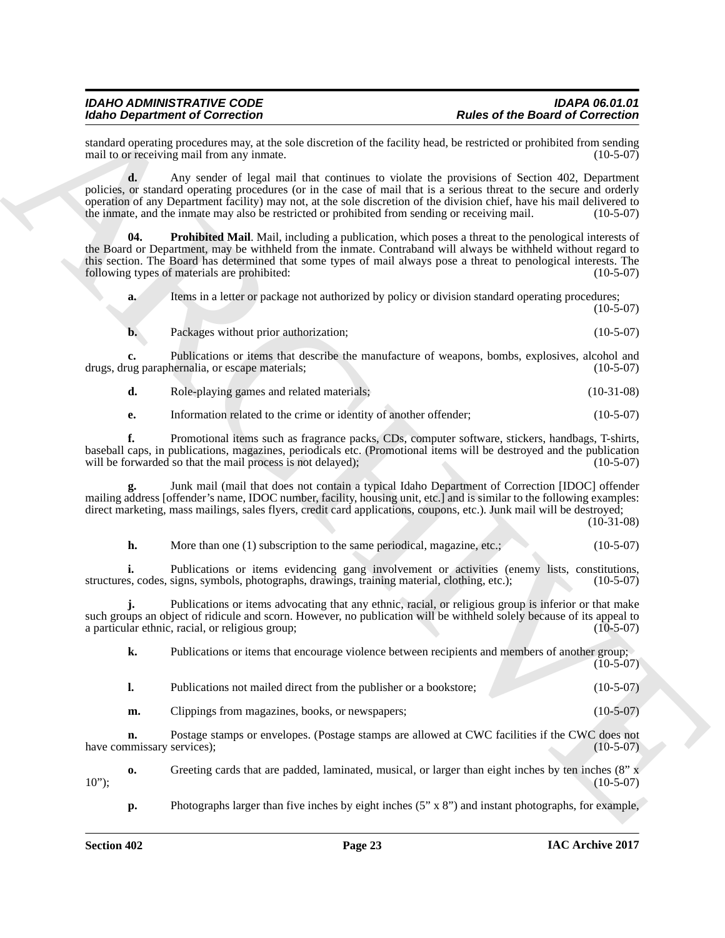standard operating procedures may, at the sole discretion of the facility head, be restricted or prohibited from sending mail to or receiving mail from any inmate. mail to or receiving mail from any inmate.

**d.** Any sender of legal mail that continues to violate the provisions of Section 402, Department policies, or standard operating procedures (or in the case of mail that is a serious threat to the secure and orderly operation of any Department facility) may not, at the sole discretion of the division chief, have his mail delivered to the inmate, and the inmate may also be restricted or prohibited from sending or receiving mail.

Hotel Organization of Concellential Concellential Concellential Concellential Concellential Concellential Concellential Concellential Concellential Concellential Concellential Concellential Concellential Concellential Con **Prohibited Mail.** Mail, including a publication, which poses a threat to the penological interests of the Board or Department, may be withheld from the inmate. Contraband will always be withheld without regard to this section. The Board has determined that some types of mail always pose a threat to penological interests. The following types of materials are prohibited: (10-5-07) following types of materials are prohibited:

<span id="page-22-0"></span>**a.** Items in a letter or package not authorized by policy or division standard operating procedures;

**b.** Packages without prior authorization; (10-5-07)

**c.** Publications or items that describe the manufacture of weapons, bombs, explosives, alcohol and ug paraphernalia, or escape materials: drugs, drug paraphernalia, or escape materials;

**d.** Role-playing games and related materials; (10-31-08)

**e.** Information related to the crime or identity of another offender; (10-5-07)

**f.** Promotional items such as fragrance packs, CDs, computer software, stickers, handbags, T-shirts, baseball caps, in publications, magazines, periodicals etc. (Promotional items will be destroyed and the publication will be forwarded so that the mail process is not delayed);

**g.** Junk mail (mail that does not contain a typical Idaho Department of Correction [IDOC] offender mailing address [offender's name, IDOC number, facility, housing unit, etc.] and is similar to the following examples: direct marketing, mass mailings, sales flyers, credit card applications, coupons, etc.). Junk mail will be destroyed;

(10-31-08)

 $(10-5-07)$ 

**h.** More than one (1) subscription to the same periodical, magazine, etc.; (10-5-07)

**i.** Publications or items evidencing gang involvement or activities (enemy lists, constitutions, s, codes, signs, symbols, photographs, drawings, training material, clothing, etc.); (10-5-07) structures, codes, signs, symbols, photographs, drawings, training material, clothing, etc.);

**j.** Publications or items advocating that any ethnic, racial, or religious group is inferior or that make such groups an object of ridicule and scorn. However, no publication will be withheld solely because of its appeal to a particular ethnic, racial, or religious group; (10-5-07) a particular ethnic, racial, or religious group;

**k.** Publications or items that encourage violence between recipients and members of another group; (10-5-07)

- **l.** Publications not mailed direct from the publisher or a bookstore; (10-5-07)
- **m.** Clippings from magazines, books, or newspapers; (10-5-07)

**n.** Postage stamps or envelopes. (Postage stamps are allowed at CWC facilities if the CWC does not have commissary services); (10-5-07)

**o.** Greeting cards that are padded, laminated, musical, or larger than eight inches by ten inches (8" x (10-5-07)  $10$ "); (10-5-07)

**p.** Photographs larger than five inches by eight inches (5" x 8") and instant photographs, for example,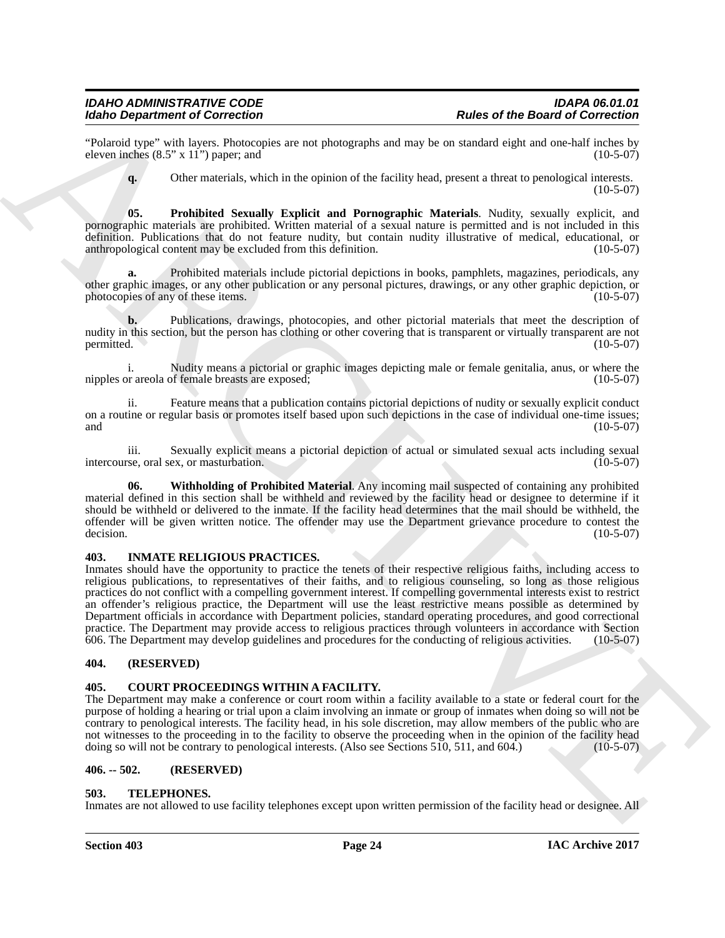"Polaroid type" with layers. Photocopies are not photographs and may be on standard eight and one-half inches by eleven inches  $(8.5" \times 11")$  paper: and eleven inches  $(8.5" \times 11")$  paper; and

<span id="page-23-5"></span>**q.** Other materials, which in the opinion of the facility head, present a threat to penological interests.  $(10-5-07)$ 

**05. Prohibited Sexually Explicit and Pornographic Materials**. Nudity, sexually explicit, and pornographic materials are prohibited. Written material of a sexual nature is permitted and is not included in this definition. Publications that do not feature nudity, but contain nudity illustrative of medical, educational, or anthropological content may be excluded from this definition. (10-5-07)

**a.** Prohibited materials include pictorial depictions in books, pamphlets, magazines, periodicals, any other graphic images, or any other publication or any personal pictures, drawings, or any other graphic depiction, or photocopies of any of these items. (10-5-07)

**b.** Publications, drawings, photocopies, and other pictorial materials that meet the description of nudity in this section, but the person has clothing or other covering that is transparent or virtually transparent are not permitted. (10-5-07)  $permitted.$  (10-5-07)

i. Nudity means a pictorial or graphic images depicting male or female genitalia, anus, or where the nipples or areola of female breasts are exposed;

ii. Feature means that a publication contains pictorial depictions of nudity or sexually explicit conduct on a routine or regular basis or promotes itself based upon such depictions in the case of individual one-time issues; and  $(10-5-07)$ 

iii. Sexually explicit means a pictorial depiction of actual or simulated sexual acts including sexual intercourse, oral sex, or masturbation.

<span id="page-23-6"></span>**06. Withholding of Prohibited Material**. Any incoming mail suspected of containing any prohibited material defined in this section shall be withheld and reviewed by the facility head or designee to determine if it should be withheld or delivered to the inmate. If the facility head determines that the mail should be withheld, the offender will be given written notice. The offender may use the Department grievance procedure to contest the decision.  $(10-5-07)$ 

### <span id="page-23-8"></span><span id="page-23-0"></span>**403. INMATE RELIGIOUS PRACTICES.**

For Orientation of Concellerio the Southern Concellerio in European Concellerio Concellerio Concellerio Concellerio in the Concellerio Concellerio in the Concellerio Concellerio in the Concellerio Concellerio Concellerio Inmates should have the opportunity to practice the tenets of their respective religious faiths, including access to religious publications, to representatives of their faiths, and to religious counseling, so long as those religious practices do not conflict with a compelling government interest. If compelling governmental interests exist to restrict an offender's religious practice, the Department will use the least restrictive means possible as determined by Department officials in accordance with Department policies, standard operating procedures, and good correctional practice. The Department may provide access to religious practices through volunteers in accordance with Section 606. The Department may develop guidelines and procedures for the conducting of religious activities. (10-5-07)

### <span id="page-23-1"></span>**404. (RESERVED)**

### <span id="page-23-7"></span><span id="page-23-2"></span>**405. COURT PROCEEDINGS WITHIN A FACILITY.**

The Department may make a conference or court room within a facility available to a state or federal court for the purpose of holding a hearing or trial upon a claim involving an inmate or group of inmates when doing so will not be contrary to penological interests. The facility head, in his sole discretion, may allow members of the public who are not witnesses to the proceeding in to the facility to observe the proceeding when in the opinion of the facility head doing so will not be contrary to penological interests. (Also see Sections 510, 511, and 604.) (10-5-07)

### <span id="page-23-3"></span>**406. -- 502. (RESERVED)**

### <span id="page-23-9"></span><span id="page-23-4"></span>**503. TELEPHONES.**

Inmates are not allowed to use facility telephones except upon written permission of the facility head or designee. All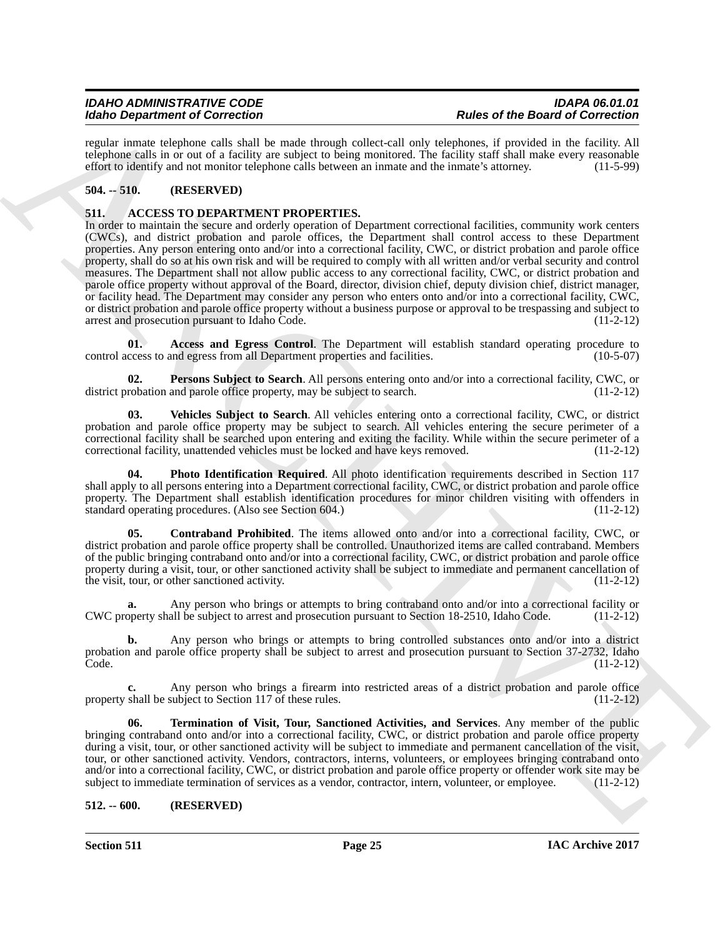regular inmate telephone calls shall be made through collect-call only telephones, if provided in the facility. All telephone calls in or out of a facility are subject to being monitored. The facility staff shall make every reasonable effort to identify and not monitor telephone calls between an inmate and the inmate's attorney. (11-5-99)

### <span id="page-24-0"></span>**504. -- 510. (RESERVED)**

### <span id="page-24-3"></span><span id="page-24-1"></span>**511. ACCESS TO DEPARTMENT PROPERTIES.**

Moto Graphitos of Concellent Barbara and Europa interaction and the Barbara of Research Concellent Barbara and the Concellent Barbara and Concellent Barbara and Concellent Barbara and Concellent Barbara and Concellent Bar In order to maintain the secure and orderly operation of Department correctional facilities, community work centers (CWCs), and district probation and parole offices, the Department shall control access to these Department properties. Any person entering onto and/or into a correctional facility, CWC, or district probation and parole office property, shall do so at his own risk and will be required to comply with all written and/or verbal security and control measures. The Department shall not allow public access to any correctional facility, CWC, or district probation and parole office property without approval of the Board, director, division chief, deputy division chief, district manager, or facility head. The Department may consider any person who enters onto and/or into a correctional facility, CWC, or district probation and parole office property without a business purpose or approval to be trespassing and subject to arrest and prosecution pursuant to Idaho Code. (11-2-12)

<span id="page-24-4"></span>Access and Egress Control. The Department will establish standard operating procedure to control access to and egress from all Department properties and facilities. (10-5-07)

<span id="page-24-6"></span>**02. Persons Subject to Search**. All persons entering onto and/or into a correctional facility, CWC, or robation and parole office property, may be subject to search. (11-2-12) district probation and parole office property, may be subject to search.

<span id="page-24-9"></span>**03. Vehicles Subject to Search**. All vehicles entering onto a correctional facility, CWC, or district probation and parole office property may be subject to search. All vehicles entering the secure perimeter of a correctional facility shall be searched upon entering and exiting the facility. While within the secure perimeter of a correctional facility, unattended vehicles must be locked and have keys removed. (11-2-12)

<span id="page-24-7"></span>**04. Photo Identification Required**. All photo identification requirements described in Section 117 shall apply to all persons entering into a Department correctional facility, CWC, or district probation and parole office property. The Department shall establish identification procedures for minor children visiting with offenders in standard operating procedures. (Also see Section 604.) (11-2-12)

<span id="page-24-5"></span>**05. Contraband Prohibited**. The items allowed onto and/or into a correctional facility, CWC, or district probation and parole office property shall be controlled. Unauthorized items are called contraband. Members of the public bringing contraband onto and/or into a correctional facility, CWC, or district probation and parole office property during a visit, tour, or other sanctioned activity shall be subject to immediate and permanent cancellation of the visit, tour, or other sanctioned activity. (11-2-12) (11-2-12)

**a.** Any person who brings or attempts to bring contraband onto and/or into a correctional facility or operty shall be subject to arrest and prosecution pursuant to Section 18-2510, Idaho Code. (11-2-12) CWC property shall be subject to arrest and prosecution pursuant to Section 18-2510, Idaho Code.

**b.** Any person who brings or attempts to bring controlled substances onto and/or into a district probation and parole office property shall be subject to arrest and prosecution pursuant to Section 37-2732, Idaho<br>Code. (11-2-12) Code. (11-2-12)

**c.** Any person who brings a firearm into restricted areas of a district probation and parole office property shall be subject to Section 117 of these rules. (11-2-12)

<span id="page-24-8"></span>**06. Termination of Visit, Tour, Sanctioned Activities, and Services**. Any member of the public bringing contraband onto and/or into a correctional facility, CWC, or district probation and parole office property during a visit, tour, or other sanctioned activity will be subject to immediate and permanent cancellation of the visit, tour, or other sanctioned activity. Vendors, contractors, interns, volunteers, or employees bringing contraband onto and/or into a correctional facility, CWC, or district probation and parole office property or offender work site may be subject to immediate termination of services as a vendor, contractor, intern, volunteer, or employee. (11-2-12)

### <span id="page-24-2"></span>**512. -- 600. (RESERVED)**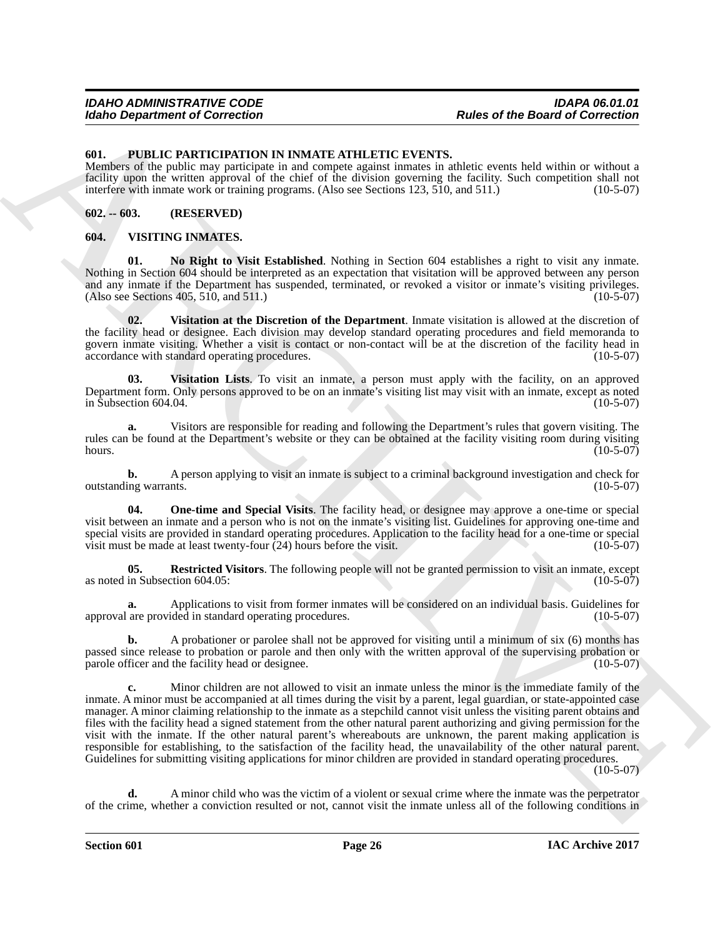### <span id="page-25-3"></span><span id="page-25-0"></span>**601. PUBLIC PARTICIPATION IN INMATE ATHLETIC EVENTS.**

Members of the public may participate in and compete against inmates in athletic events held within or without a facility upon the written approval of the chief of the division governing the facility. Such competition shall not interfere with inmate work or training programs. (Also see Sections 123, 510, and 511.) (10-5-07)

### <span id="page-25-1"></span>**602. -- 603. (RESERVED)**

### <span id="page-25-4"></span><span id="page-25-2"></span>**604. VISITING INMATES.**

<span id="page-25-5"></span>**01. No Right to Visit Established**. Nothing in Section 604 establishes a right to visit any inmate. Nothing in Section 604 should be interpreted as an expectation that visitation will be approved between any person and any inmate if the Department has suspended, terminated, or revoked a visitor or inmate's visiting privileges. (Also see Sections 405, 510, and 511.) (10-5-07)

<span id="page-25-8"></span>**02. Visitation at the Discretion of the Department**. Inmate visitation is allowed at the discretion of the facility head or designee. Each division may develop standard operating procedures and field memoranda to govern inmate visiting. Whether a visit is contact or non-contact will be at the discretion of the facility head in accordance with standard operating procedures. (10-5-07)

<span id="page-25-9"></span>**03. Visitation Lists**. To visit an inmate, a person must apply with the facility, on an approved Department form. Only persons approved to be on an inmate's visiting list may visit with an inmate, except as noted in Subsection  $604.04$ .

**a.** Visitors are responsible for reading and following the Department's rules that govern visiting. The rules can be found at the Department's website or they can be obtained at the facility visiting room during visiting hours. (10-5-07) hours.  $(10-5-07)$ 

**b.** A person applying to visit an inmate is subject to a criminal background investigation and check for outstanding warrants. (10-5-07)

<span id="page-25-6"></span>**04. One-time and Special Visits**. The facility head, or designee may approve a one-time or special visit between an inmate and a person who is not on the inmate's visiting list. Guidelines for approving one-time and special visits are provided in standard operating procedures. Application to the facility head for a one-time or special visit must be made at least twenty-four (24) hours before the visit. (10-5-07) visit must be made at least twenty-four  $(24)$  hours before the visit.

<span id="page-25-7"></span>**05.** Restricted Visitors. The following people will not be granted permission to visit an inmate, except in Subsection 604.05: (10-5-07) as noted in Subsection 604.05:

**a.** Applications to visit from former inmates will be considered on an individual basis. Guidelines for are provided in standard operating procedures. (10-5-07) approval are provided in standard operating procedures.

**b.** A probationer or parolee shall not be approved for visiting until a minimum of six (6) months has passed since release to probation or parole and then only with the written approval of the supervising probation or parole officer and the facility head or designee. (10-5-07) parole officer and the facility head or designee.

Follow Department of Correction<br>
State of the Board of Correction<br>
State of the Board of Correction<br>
Numero of the Board of Correction<br>
Numero of the pair any product of the correction and more than the correction<br>
Numero **c.** Minor children are not allowed to visit an inmate unless the minor is the immediate family of the inmate. A minor must be accompanied at all times during the visit by a parent, legal guardian, or state-appointed case manager. A minor claiming relationship to the inmate as a stepchild cannot visit unless the visiting parent obtains and files with the facility head a signed statement from the other natural parent authorizing and giving permission for the visit with the inmate. If the other natural parent's whereabouts are unknown, the parent making application is responsible for establishing, to the satisfaction of the facility head, the unavailability of the other natural parent. Guidelines for submitting visiting applications for minor children are provided in standard operating procedures.

 $(10-5-07)$ 

**d.** A minor child who was the victim of a violent or sexual crime where the inmate was the perpetrator of the crime, whether a conviction resulted or not, cannot visit the inmate unless all of the following conditions in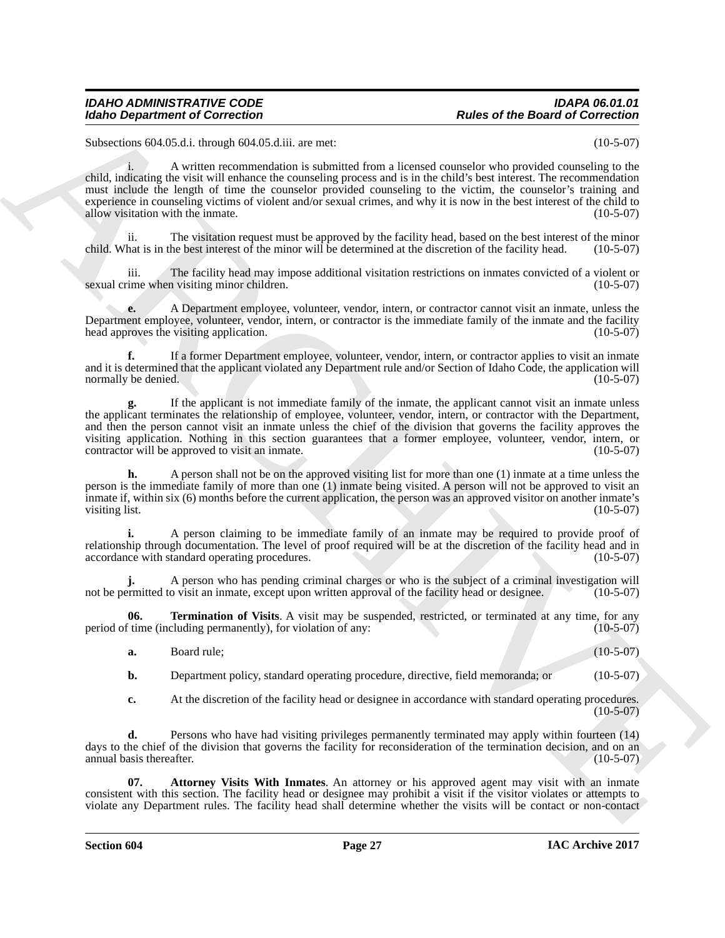Subsections 604.05.d.i. through 604.05.d.iii. are met: (10-5-07)

Moleho Department of Correction<br>
School Department of Correction<br>
School Department of Correction<br>
School Department of Correction<br>
School Department of the Comparison of the Correction of the Correction<br>
and Euclidean Sc i. A written recommendation is submitted from a licensed counselor who provided counseling to the child, indicating the visit will enhance the counseling process and is in the child's best interest. The recommendation must include the length of time the counselor provided counseling to the victim, the counselor's training and experience in counseling victims of violent and/or sexual crimes, and why it is now in the best interest of the child to allow visitation with the inmate. (10-5-07) allow visitation with the inmate.

ii. The visitation request must be approved by the facility head, based on the best interest of the minor child. What is in the best interest of the minor will be determined at the discretion of the facility head. (10-5-07)

iii. The facility head may impose additional visitation restrictions on inmates convicted of a violent or ime when visiting minor children. (10-5-07) sexual crime when visiting minor children.

**e.** A Department employee, volunteer, vendor, intern, or contractor cannot visit an inmate, unless the Department employee, volunteer, vendor, intern, or contractor is the immediate family of the inmate and the facility head approves the visiting application. (10-5-07) head approves the visiting application.

**f.** If a former Department employee, volunteer, vendor, intern, or contractor applies to visit an inmate and it is determined that the applicant violated any Department rule and/or Section of Idaho Code, the application will normally be denied. (10-5-07) normally be denied.

**g.** If the applicant is not immediate family of the inmate, the applicant cannot visit an inmate unless the applicant terminates the relationship of employee, volunteer, vendor, intern, or contractor with the Department, and then the person cannot visit an inmate unless the chief of the division that governs the facility approves the visiting application. Nothing in this section guarantees that a former employee, volunteer, vendor, intern, or contractor will be approved to visit an inmate. (10-5-07) contractor will be approved to visit an inmate.

**h.** A person shall not be on the approved visiting list for more than one (1) inmate at a time unless the person is the immediate family of more than one (1) inmate being visited. A person will not be approved to visit an inmate if, within six (6) months before the current application, the person was an approved visitor on another inmate's visiting list.  $(10-5-07)$ 

**i.** A person claiming to be immediate family of an inmate may be required to provide proof of relationship through documentation. The level of proof required will be at the discretion of the facility head and in accordance with standard operating procedures. (10-5-07) accordance with standard operating procedures.

**j.** A person who has pending criminal charges or who is the subject of a criminal investigation will ermitted to visit an inmate, except upon written approval of the facility head or designee. (10-5-07) not be permitted to visit an inmate, except upon written approval of the facility head or designee.

**06. Termination of Visits**. A visit may be suspended, restricted, or terminated at any time, for any fitime (including permanently), for violation of any: (10-5-07) period of time (including permanently), for violation of any:

<span id="page-26-1"></span>**a.** Board rule; (10-5-07)

**b.** Department policy, standard operating procedure, directive, field memoranda; or (10-5-07)

<span id="page-26-0"></span>**c.** At the discretion of the facility head or designee in accordance with standard operating procedures.  $(10-5-07)$ 

**d.** Persons who have had visiting privileges permanently terminated may apply within fourteen (14) days to the chief of the division that governs the facility for reconsideration of the termination decision, and on an annual basis thereafter. (10-5-07)

**07. Attorney Visits With Inmates**. An attorney or his approved agent may visit with an inmate consistent with this section. The facility head or designee may prohibit a visit if the visitor violates or attempts to violate any Department rules. The facility head shall determine whether the visits will be contact or non-contact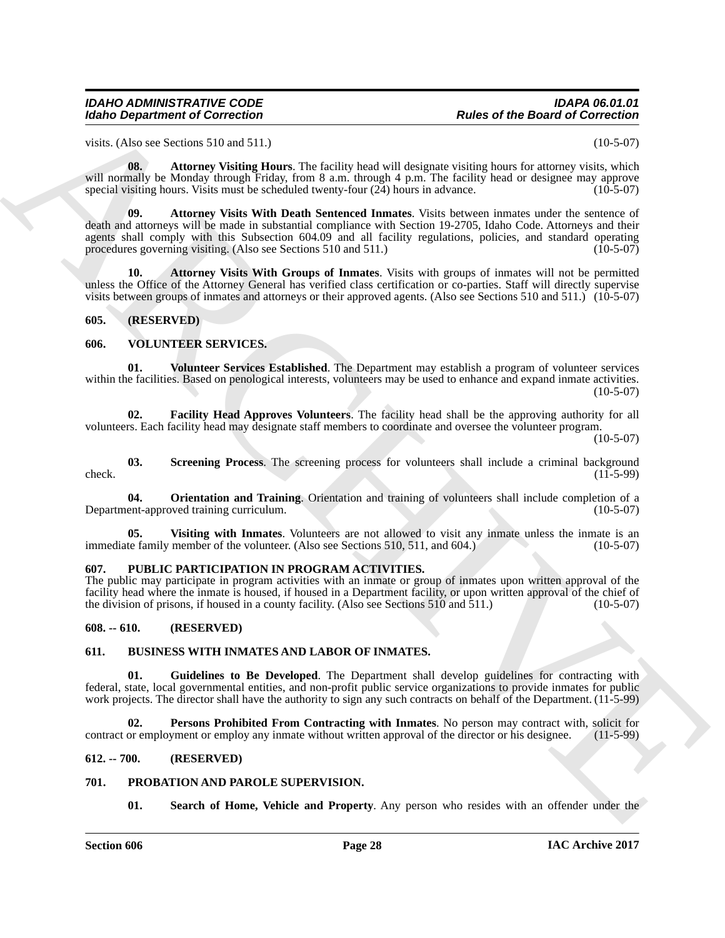visits. (Also see Sections 510 and 511.)  $(10-5-07)$ 

<span id="page-27-14"></span><span id="page-27-13"></span>**08.** Attorney Visiting Hours. The facility head will designate visiting hours for attorney visits, which will normally be Monday through Friday, from 8 a.m. through 4 p.m. The facility head or designee may approve special visiting hours. Visits must be scheduled twenty-four  $(24)$  hours in advance.  $(10-5-07)$ 

Rolen Organization of Correction<br>
Scholar Correction (Eds. 1976) and 311.)<br>
Scholar Scholar Scholar Correction (Eds. 2013)<br>
Scholar Motor Correction (Eds. 2013)<br>
Scholar Motor Correction (Eds. 2013)<br>
Scholar Scholar Schol **09. Attorney Visits With Death Sentenced Inmates**. Visits between inmates under the sentence of death and attorneys will be made in substantial compliance with Section 19-2705, Idaho Code. Attorneys and their agents shall comply with this Subsection 604.09 and all facility regulations, policies, and standard operating procedures governing visiting. (Also see Sections 510 and 511.)  $(10-5-07)$ 

<span id="page-27-15"></span>**10. Attorney Visits With Groups of Inmates**. Visits with groups of inmates will not be permitted unless the Office of the Attorney General has verified class certification or co-parties. Staff will directly supervise visits between groups of inmates and attorneys or their approved agents. (Also see Sections 510 and 511.) (10-5-07)

### <span id="page-27-0"></span>**605. (RESERVED)**

### <span id="page-27-16"></span><span id="page-27-1"></span>**606. VOLUNTEER SERVICES.**

<span id="page-27-21"></span>**01. Volunteer Services Established**. The Department may establish a program of volunteer services within the facilities. Based on penological interests, volunteers may be used to enhance and expand inmate activities.  $(10-5-07)$ 

<span id="page-27-17"></span>**02. Facility Head Approves Volunteers**. The facility head shall be the approving authority for all volunteers. Each facility head may designate staff members to coordinate and oversee the volunteer program.

 $(10-5-07)$ 

<span id="page-27-19"></span>**03.** Screening Process. The screening process for volunteers shall include a criminal background (11-5-99)  $\text{check.}$  (11-5-99)

<span id="page-27-18"></span>**04. Orientation and Training**. Orientation and training of volunteers shall include completion of a Department-approved training curriculum.

<span id="page-27-20"></span>**05.** Visiting with Inmates. Volunteers are not allowed to visit any inmate unless the inmate is an te family member of the volunteer. (Also see Sections 510, 511, and 604.) (10-5-07) immediate family member of the volunteer. (Also see Sections  $510, 511$ , and  $604$ .)

### <span id="page-27-12"></span><span id="page-27-2"></span>**607. PUBLIC PARTICIPATION IN PROGRAM ACTIVITIES.**

The public may participate in program activities with an inmate or group of inmates upon written approval of the facility head where the inmate is housed, if housed in a Department facility, or upon written approval of the chief of the division of prisons, if housed in a county facility. (Also see Sections 510 and 511.) (10-5-07) the division of prisons, if housed in a county facility. (Also see Sections 510 and 511.)

### <span id="page-27-3"></span>**608. -- 610. (RESERVED)**

### <span id="page-27-7"></span><span id="page-27-4"></span>**611. BUSINESS WITH INMATES AND LABOR OF INMATES.**

<span id="page-27-8"></span>**01. Guidelines to Be Developed**. The Department shall develop guidelines for contracting with federal, state, local governmental entities, and non-profit public service organizations to provide inmates for public work projects. The director shall have the authority to sign any such contracts on behalf of the Department. (11-5-99)

<span id="page-27-9"></span>**Persons Prohibited From Contracting with Inmates**. No person may contract with, solicit for yment or employ any inmate without written approval of the director or his designee. (11-5-99) contract or employment or employ any inmate without written approval of the director or his designee.

### <span id="page-27-5"></span>**612. -- 700. (RESERVED)**

### <span id="page-27-6"></span>**701. PROBATION AND PAROLE SUPERVISION.**

<span id="page-27-11"></span><span id="page-27-10"></span>**01.** Search of Home, Vehicle and Property. Any person who resides with an offender under the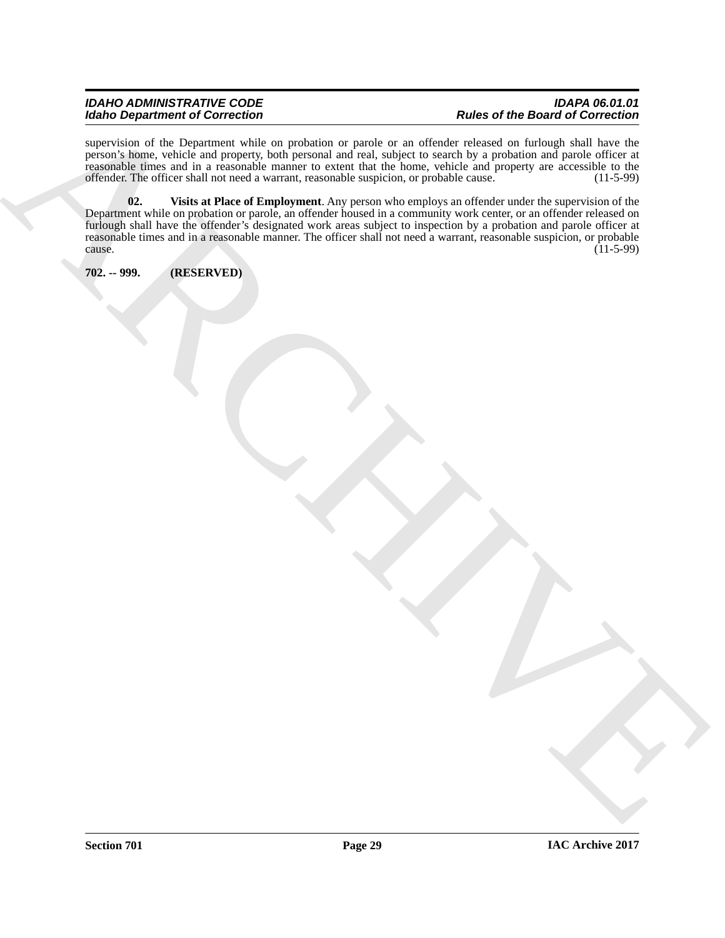### *IDAHO ADMINISTRATIVE CODE IDAPA 06.01.01*  $Rules$  of the Board of Correction

<span id="page-28-1"></span>supervision of the Department while on probation or parole or an offender released on furlough shall have the person's home, vehicle and property, both personal and real, subject to search by a probation and parole officer at reasonable times and in a reasonable manner to extent that the home, vehicle and property are accessible to the offender. The officer shall not need a warrant, reasonable suspicion, or probable cause. (11-5-99) offender. The officer shall not need a warrant, reasonable suspicion, or probable cause.

For Construction of Construction of the United States of the Barbor of the Barbor of Construction<br>
The Construction of Construction of the United States of the United States of the United States of the United<br>
The Construc **02. Visits at Place of Employment**. Any person who employs an offender under the supervision of the Department while on probation or parole, an offender housed in a community work center, or an offender released on furlough shall have the offender's designated work areas subject to inspection by a probation and parole officer at reasonable times and in a reasonable manner. The officer shall not need a warrant, reasonable suspicion, or probable  $\alpha$  cause. (11-5-99)

<span id="page-28-0"></span>**702. -- 999. (RESERVED)**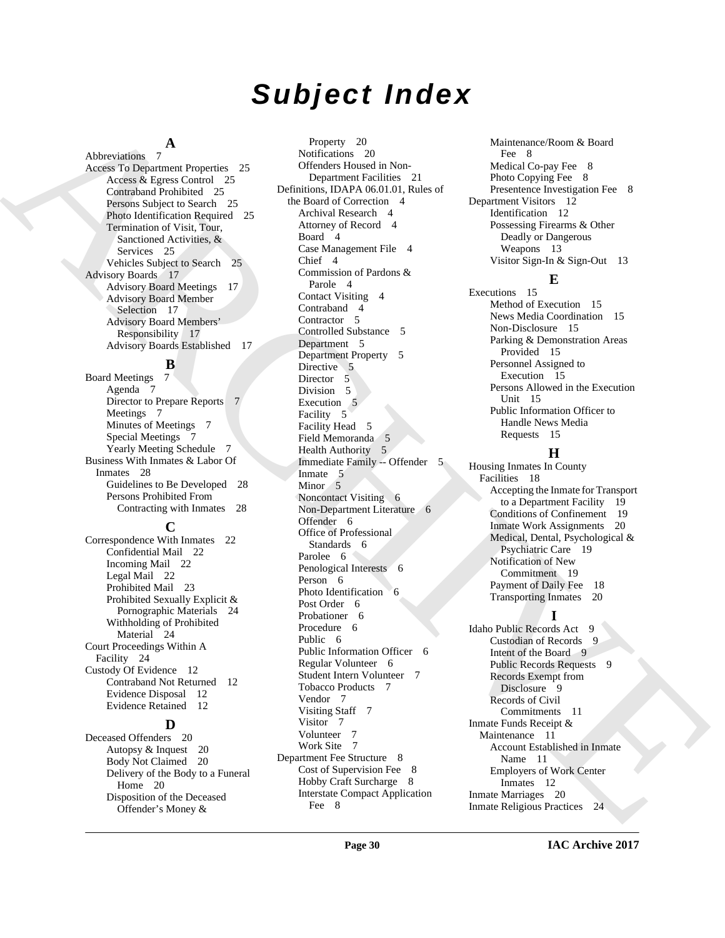# *Subject Index*

### **A**

Abbreviations 7 Access To Department Properties 25 Access & Egress Control 25 Contraband Prohibited 25 Persons Subject to Search 25 Photo Identification Required 25 Termination of Visit, Tour, Sanctioned Activities, & Services 25 Vehicles Subject to Search 25 Advisory Boards 17 Advisory Board Meetings 17 Advisory Board Member Selection 17 Advisory Board Members' Responsibility 17 Advisory Boards Established 17

 $\frac{B}{7}$ **Board Meetings** Agenda 7 Director to Prepare Reports 7 Meetings 7 Minutes of Meetings 7 Special Meetings 7 Yearly Meeting Schedule 7 Business With Inmates & Labor Of Inmates 28 Guidelines to Be Developed 28 Persons Prohibited From Contracting with Inmates 28

### **C**

Correspondence With Inmates 22 Confidential Mail 22 Incoming Mail 22 Legal Mail 22 Prohibited Mail 23 Prohibited Sexually Explicit & Pornographic Materials 24 Withholding of Prohibited Material 24 Court Proceedings Within A Facility 24 Custody Of Evidence 12 Contraband Not Returned 12 Evidence Disposal 12 Evidence Retained 12

### **D**

Deceased Offenders 20 Autopsy & Inquest 20 Body Not Claimed 20 Delivery of the Body to a Funeral Home 20 Disposition of the Deceased Offender's Money &

[AR](#page-24-8)[C](#page-16-7)[H](#page-5-3)[I](#page-18-2)[V](#page-18-3)[E](#page-8-7)S A CHARACHIEF COMMUNIST SUBMISSION CONTINUES (SEE ARCHIVES AND SUBMISSION CONTINUES ARCHIVES AND CONTINUES (SEE ARCHIVES AND SUBMISSION CONTINUES ARCHIVES AND CONTINUES ARCHIVES ARCHIVES ARCHIVES AND CONTINUES ARC Property 20 Notifications 20 Offenders Housed in Non-Department Facilities 21 Definitions, IDAPA 06.01.01, Rules of the Board of Correction 4 Archival Research 4 Attorney of Record 4 Board 4 Case Management File 4 Chief 4 Commission of Pardons & Parole 4 Contact Visiting 4 Contraband 4 Contractor<sub>5</sub> Controlled Substance 5 Department 5 Department Property 5 Directive 5 Director 5 Division 5 Execution 5 Facility 5 Facility Head 5 Field Memoranda 5 Health Authority 5 Immediate Family -- Offender 5 Inmate 5 Minor<sub>5</sub> Noncontact Visiting 6 Non-Department Literature 6 Offender 6 Office of Professional Standards 6 Parolee 6 Penological Interests 6 Person 6 Photo Identification 6 Post Order 6 Probationer 6 Procedure 6 Public 6 Public Information Officer 6 Regular Volunteer 6 Student Intern Volunteer 7 Tobacco Products 7 Vendor 7 Visiting Staff 7 Visitor 7 Volunteer 7 Work Site 7 Department Fee Structure 8 Cost of Supervision Fee 8 Hobby Craft Surcharge 8 Interstate Compact Application Fee 8

Maintenance/Room & Board Fee 8 Medical Co-pay Fee 8 Photo Copying Fee 8 Presentence Investigation Fee 8 Department Visitors 12 Identification 12 Possessing Firearms & Other Deadly or Dangerous Weapons 13 Visitor Sign-In & Sign-Out 13

### **E**

Executions 15 Method of Execution 15 News Media Coordination 15 Non-Disclosure 15 Parking & Demonstration Areas Provided 15 Personnel Assigned to Execution 15 Persons Allowed in the Execution Unit 15 Public Information Officer to Handle News Media Requests 15

### **H**

Housing Inmates In County Facilities 18 Accepting the Inmate for Transport to a Department Facility 19 Conditions of Confinement 19 Inmate Work Assignments 20 Medical, Dental, Psychological & Psychiatric Care 19 Notification of New Commitment 19 Payment of Daily Fee 18 Transporting Inmates 20

### **I**

Idaho Public Records Act 9 Custodian of Records 9 Intent of the Board 9 Public Records Requests 9 Records Exempt from Disclosure 9 Records of Civil Commitments 11 Inmate Funds Receipt & Maintenance 11 Account Established in Inmate Name 11 Employers of Work Center Inmates 12 Inmate Marriages 20 Inmate Religious Practices 24